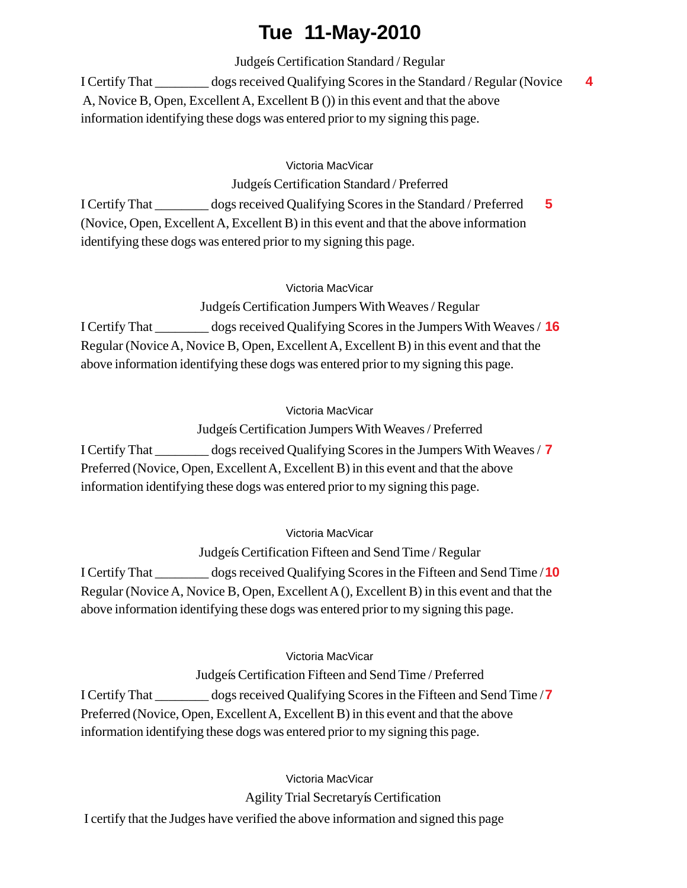# **Tue 11-May-2010**

Judgeís Certification Standard / Regular I Certify That \_\_\_\_\_\_\_\_ dogs received Qualifying Scores in the Standard / Regular (Novice **4** A, Novice B, Open, Excellent A, Excellent B ()) in this event and that the above information identifying these dogs was entered prior to my signing this page.

#### Victoria MacVicar

Judgeís Certification Standard / Preferred

I Certify That \_\_\_\_\_\_\_\_ dogs received Qualifying Scores in the Standard / Preferred **5** (Novice, Open, Excellent A, Excellent B) in this event and that the above information identifying these dogs was entered prior to my signing this page.

Victoria MacVicar

Judgeís Certification Jumpers With Weaves / Regular

I Certify That \_\_\_\_\_\_\_\_ dogs received Qualifying Scores in the Jumpers With Weaves / **16** Regular (Novice A, Novice B, Open, Excellent A, Excellent B) in this event and that the above information identifying these dogs was entered prior to my signing this page.

Victoria MacVicar

Judgeís Certification Jumpers With Weaves / Preferred

I Certify That \_\_\_\_\_\_\_\_ dogs received Qualifying Scores in the Jumpers With Weaves / **7** Preferred (Novice, Open, Excellent A, Excellent B) in this event and that the above information identifying these dogs was entered prior to my signing this page.

Victoria MacVicar

Judgeís Certification Fifteen and Send Time / Regular I Certify That \_\_\_\_\_\_\_\_ dogs received Qualifying Scores in the Fifteen and Send Time /**10** Regular (Novice A, Novice B, Open, Excellent A (), Excellent B) in this event and that the above information identifying these dogs was entered prior to my signing this page.

#### Victoria MacVicar

Judgeís Certification Fifteen and Send Time / Preferred

I Certify That \_\_\_\_\_\_\_\_ dogs received Qualifying Scores in the Fifteen and Send Time /**7** Preferred (Novice, Open, Excellent A, Excellent B) in this event and that the above information identifying these dogs was entered prior to my signing this page.

Victoria MacVicar

Agility Trial Secretaryís Certification

I certify that the Judges have verified the above information and signed this page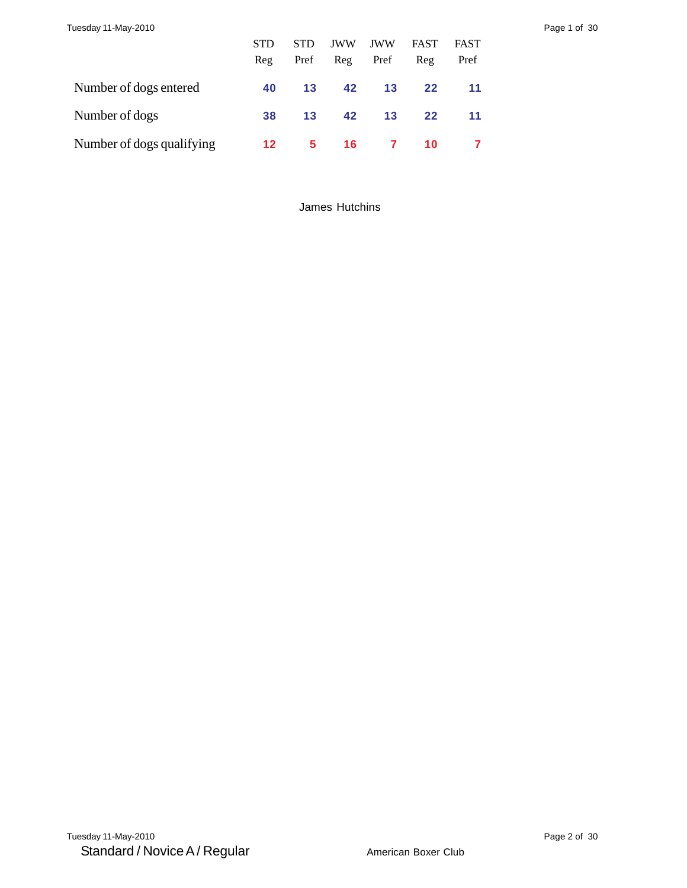| Tuesday 11-May-2010       |            |            |            |            |             |             | Page 1 of 30 |
|---------------------------|------------|------------|------------|------------|-------------|-------------|--------------|
|                           | <b>STD</b> | <b>STD</b> | <b>JWW</b> | <b>JWW</b> | <b>FAST</b> | <b>FAST</b> |              |
|                           | Reg        | Pref       | Reg        | Pref       | Reg         | Pref        |              |
| Number of dogs entered    | 40         | 13         | 42         | 13         | 22          | 11          |              |
| Number of dogs            | 38         | 13         | 42         | 13         | 22          | 11          |              |
| Number of dogs qualifying | $12 \,$    | 5          | 16         | 7          | 10          |             |              |

James Hutchins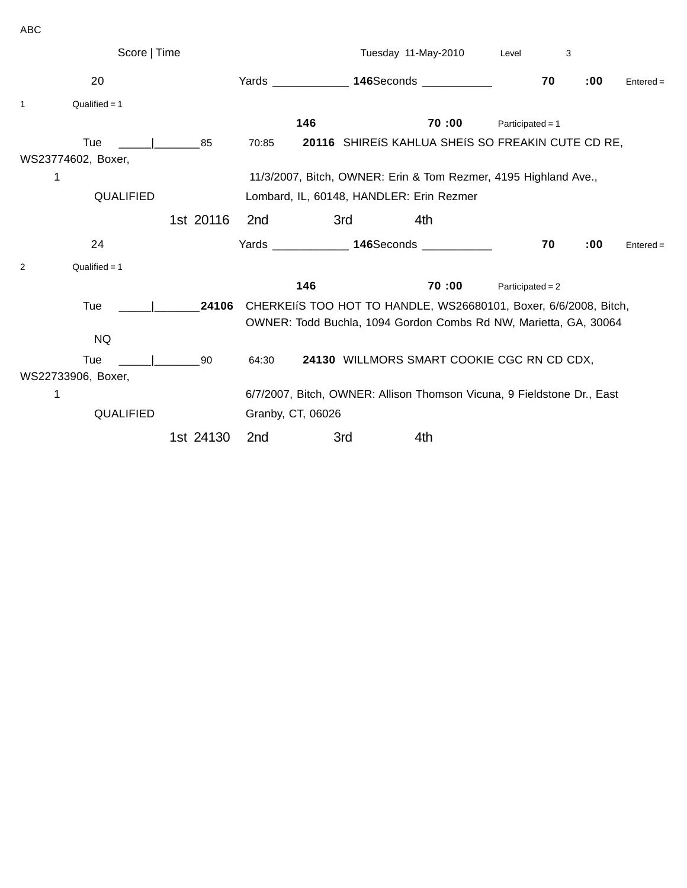ABC

| Score   Time                    |            |                 |                   | Tuesday 11-May-2010                                                    | Level              | 3   |             |
|---------------------------------|------------|-----------------|-------------------|------------------------------------------------------------------------|--------------------|-----|-------------|
| 20                              |            |                 |                   | Yards _______________ 146Seconds ____________                          | 70                 | :00 | $Entered =$ |
| $Qualified = 1$<br>$\mathbf{1}$ |            |                 |                   |                                                                        |                    |     |             |
|                                 |            |                 | 146               | 70:00                                                                  | Participated = $1$ |     |             |
| Tue<br>WS23774602, Boxer,       | 85   85    | 70:85           |                   | 20116 SHIREIS KAHLUA SHEIS SO FREAKIN CUTE CD RE,                      |                    |     |             |
| 1                               |            |                 |                   | 11/3/2007, Bitch, OWNER: Erin & Tom Rezmer, 4195 Highland Ave.,        |                    |     |             |
| <b>QUALIFIED</b>                |            |                 |                   | Lombard, IL, 60148, HANDLER: Erin Rezmer                               |                    |     |             |
|                                 | 1st 20116  | 2nd             | 3rd               | 4th                                                                    |                    |     |             |
| 24                              |            |                 |                   | Yards _______________ 146Seconds ____________                          | 70                 | :00 | $Entered =$ |
| Qualified = $1$<br>2            |            |                 |                   |                                                                        |                    |     |             |
|                                 |            |                 | 146               | 70:00                                                                  | Participated = $2$ |     |             |
| Tue                             | 24106      |                 |                   | CHERKEIIS TOO HOT TO HANDLE, WS26680101, Boxer, 6/6/2008, Bitch,       |                    |     |             |
|                                 |            |                 |                   | OWNER: Todd Buchla, 1094 Gordon Combs Rd NW, Marietta, GA, 30064       |                    |     |             |
| <b>NQ</b>                       |            |                 |                   |                                                                        |                    |     |             |
| Tue                             | $\vert$ 90 | 64:30           |                   | 24130 WILLMORS SMART COOKIE CGC RN CD CDX,                             |                    |     |             |
| WS22733906, Boxer,              |            |                 |                   |                                                                        |                    |     |             |
| 1                               |            |                 |                   | 6/7/2007, Bitch, OWNER: Allison Thomson Vicuna, 9 Fieldstone Dr., East |                    |     |             |
| QUALIFIED                       |            |                 | Granby, CT, 06026 |                                                                        |                    |     |             |
|                                 | 1st 24130  | 2 <sub>nd</sub> | 3rd               | 4th                                                                    |                    |     |             |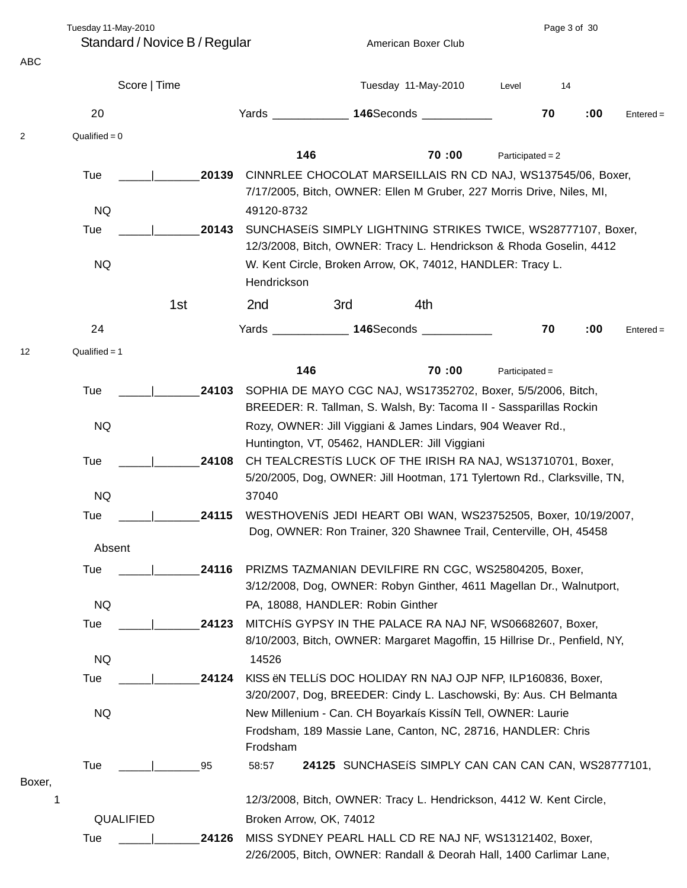Tuesday 11-May-2010 Page 3 of 30 Standard / Novice B / Regular American Boxer Club ABC Score | Time Tuesday 11-May-2010 Level 14 20 Yards \_\_\_\_\_\_\_\_\_\_\_\_ **146**Seconds \_\_\_\_\_\_\_\_\_\_\_ **70 :00** Entered =  $2$  Qualified = 0 **146 70 :00** Participated = 2 Tue \_\_\_\_\_|\_\_\_\_\_\_\_**20139** CINNRLEE CHOCOLAT MARSEILLAIS RN CD NAJ, WS137545/06, Boxer, 7/17/2005, Bitch, OWNER: Ellen M Gruber, 227 Morris Drive, Niles, MI, NQ 49120-8732 Tue \_\_\_\_\_|\_\_\_\_\_\_\_**20143** SUNCHASEíS SIMPLY LIGHTNING STRIKES TWICE, WS28777107, Boxer, 12/3/2008, Bitch, OWNER: Tracy L. Hendrickson & Rhoda Goselin, 4412 NQ W. Kent Circle, Broken Arrow, OK, 74012, HANDLER: Tracy L. Hendrickson 1st 2nd 3rd 4th 24 Yards \_\_\_\_\_\_\_\_\_\_\_\_ **146**Seconds \_\_\_\_\_\_\_\_\_\_\_ **70 :00** Entered =  $12$  Qualified = 1 **146 70 :00** Participated = Tue \_\_\_\_\_|\_\_\_\_\_\_\_**24103** SOPHIA DE MAYO CGC NAJ, WS17352702, Boxer, 5/5/2006, Bitch, BREEDER: R. Tallman, S. Walsh, By: Tacoma II - Sassparillas Rockin NQ Rozy, OWNER: Jill Viggiani & James Lindars, 904 Weaver Rd., Huntington, VT, 05462, HANDLER: Jill Viggiani Tue \_\_\_\_\_|\_\_\_\_\_\_\_**24108** CH TEALCRESTíS LUCK OF THE IRISH RA NAJ, WS13710701, Boxer, 5/20/2005, Dog, OWNER: Jill Hootman, 171 Tylertown Rd., Clarksville, TN, NQ 37040 Tue \_\_\_\_\_|\_\_\_\_\_\_\_**24115** WESTHOVENíS JEDI HEART OBI WAN, WS23752505, Boxer, 10/19/2007, Dog, OWNER: Ron Trainer, 320 Shawnee Trail, Centerville, OH, 45458 Absent Tue  $\vert$  **24116** PRIZMS TAZMANIAN DEVILFIRE RN CGC, WS25804205, Boxer, 3/12/2008, Dog, OWNER: Robyn Ginther, 4611 Magellan Dr., Walnutport, NQ PA, 18088, HANDLER: Robin Ginther Tue \_\_\_\_\_|\_\_\_\_\_\_\_**24123** MITCHíS GYPSY IN THE PALACE RA NAJ NF, WS06682607, Boxer, 8/10/2003, Bitch, OWNER: Margaret Magoffin, 15 Hillrise Dr., Penfield, NY, NQ 14526 Tue \_\_\_\_\_|\_\_\_\_\_\_\_**24124** KISS ëN TELLíS DOC HOLIDAY RN NAJ OJP NFP, ILP160836, Boxer, 3/20/2007, Dog, BREEDER: Cindy L. Laschowski, By: Aus. CH Belmanta NQ New Millenium - Can. CH Boyarkaís KissíN Tell, OWNER: Laurie Frodsham, 189 Massie Lane, Canton, NC, 28716, HANDLER: Chris Frodsham Tue \_\_\_\_\_|\_\_\_\_\_\_\_95 58:57 **24125** SUNCHASEíS SIMPLY CAN CAN CAN CAN, WS28777101, Boxer, 1 12/3/2008, Bitch, OWNER: Tracy L. Hendrickson, 4412 W. Kent Circle, QUALIFIED Broken Arrow, OK, 74012 Tue \_\_\_\_\_|\_\_\_\_\_\_\_**24126** MISS SYDNEY PEARL HALL CD RE NAJ NF, WS13121402, Boxer, 2/26/2005, Bitch, OWNER: Randall & Deorah Hall, 1400 Carlimar Lane,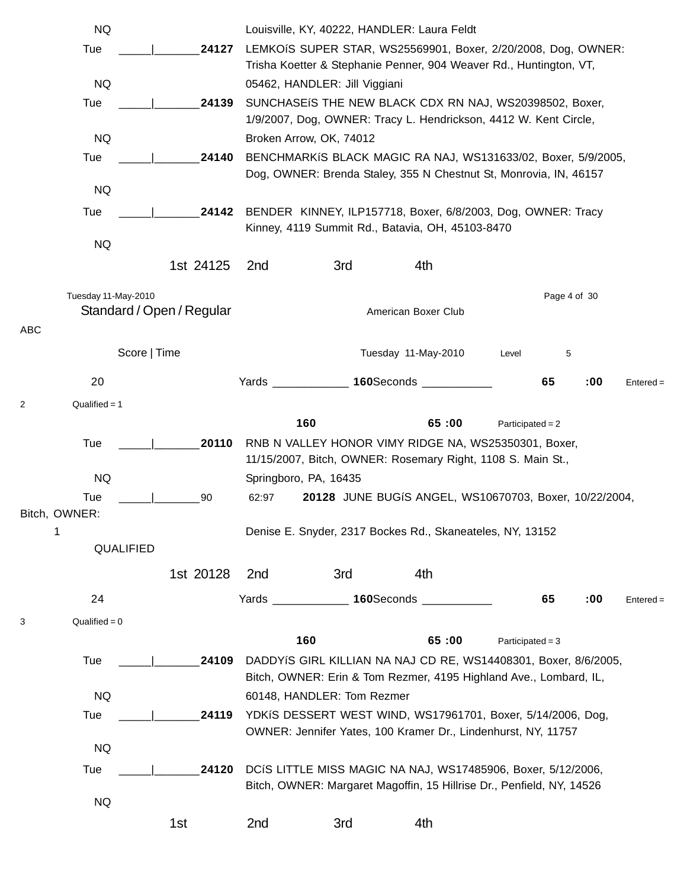|     | <b>NQ</b>                 |           |                         |                               | Louisville, KY, 40222, HANDLER: Laura Feldt                                                                                          |                    |              |             |
|-----|---------------------------|-----------|-------------------------|-------------------------------|--------------------------------------------------------------------------------------------------------------------------------------|--------------------|--------------|-------------|
|     | Tue                       | 24127     |                         |                               | LEMKOIS SUPER STAR, WS25569901, Boxer, 2/20/2008, Dog, OWNER:                                                                        |                    |              |             |
|     |                           |           |                         |                               | Trisha Koetter & Stephanie Penner, 904 Weaver Rd., Huntington, VT,                                                                   |                    |              |             |
|     | <b>NQ</b>                 |           |                         | 05462, HANDLER: Jill Viggiani |                                                                                                                                      |                    |              |             |
|     | Tue                       | 24139     |                         |                               | SUNCHASEIS THE NEW BLACK CDX RN NAJ, WS20398502, Boxer,<br>1/9/2007, Dog, OWNER: Tracy L. Hendrickson, 4412 W. Kent Circle,          |                    |              |             |
|     | <b>NQ</b>                 |           |                         | Broken Arrow, OK, 74012       |                                                                                                                                      |                    |              |             |
|     | Tue                       | 24140     |                         |                               | BENCHMARKIS BLACK MAGIC RA NAJ, WS131633/02, Boxer, 5/9/2005,                                                                        |                    |              |             |
|     |                           |           |                         |                               | Dog, OWNER: Brenda Staley, 355 N Chestnut St, Monrovia, IN, 46157                                                                    |                    |              |             |
|     | <b>NQ</b>                 |           |                         |                               |                                                                                                                                      |                    |              |             |
|     | Tue                       | 24142     |                         |                               | BENDER KINNEY, ILP157718, Boxer, 6/8/2003, Dog, OWNER: Tracy                                                                         |                    |              |             |
|     | <b>NQ</b>                 |           |                         |                               | Kinney, 4119 Summit Rd., Batavia, OH, 45103-8470                                                                                     |                    |              |             |
|     |                           | 1st 24125 | 2 <sub>nd</sub>         | 3rd                           | 4th                                                                                                                                  |                    |              |             |
|     |                           |           |                         |                               |                                                                                                                                      |                    |              |             |
|     | Tuesday 11-May-2010       |           |                         |                               |                                                                                                                                      |                    | Page 4 of 30 |             |
|     | Standard / Open / Regular |           |                         |                               | American Boxer Club                                                                                                                  |                    |              |             |
| ABC |                           |           |                         |                               |                                                                                                                                      |                    |              |             |
|     | Score   Time              |           |                         |                               | Tuesday 11-May-2010                                                                                                                  | Level              | 5            |             |
|     | 20                        |           | <b>Yards Example 19</b> |                               | 160Seconds                                                                                                                           | 65                 | :00          | $Entered =$ |
| 2   | $Qualified = 1$           |           |                         |                               |                                                                                                                                      |                    |              |             |
|     |                           |           |                         | 160                           | 65:00                                                                                                                                | Participated = $2$ |              |             |
|     | Tue                       | 20110     |                         |                               | RNB N VALLEY HONOR VIMY RIDGE NA, WS25350301, Boxer,<br>11/15/2007, Bitch, OWNER: Rosemary Right, 1108 S. Main St.,                  |                    |              |             |
|     | <b>NQ</b>                 |           |                         | Springboro, PA, 16435         |                                                                                                                                      |                    |              |             |
|     | Tue                       | 90        | 62:97                   |                               | 20128 JUNE BUGÍS ANGEL, WS10670703, Boxer, 10/22/2004,                                                                               |                    |              |             |
|     | Bitch, OWNER:<br>1        |           |                         |                               | Denise E. Snyder, 2317 Bockes Rd., Skaneateles, NY, 13152                                                                            |                    |              |             |
|     | QUALIFIED                 |           |                         |                               |                                                                                                                                      |                    |              |             |
|     |                           |           |                         |                               |                                                                                                                                      |                    |              |             |
|     |                           | 1st 20128 | 2 <sub>nd</sub>         | 3rd                           | 4th                                                                                                                                  |                    |              |             |
|     | 24                        |           | Yards _______________   |                               | 160Seconds ___________                                                                                                               | 65                 | :00          | $Entered =$ |
| 3   | $Qualified = 0$           |           |                         |                               |                                                                                                                                      |                    |              |             |
|     |                           |           |                         | 160                           | 65:00                                                                                                                                | Participated = $3$ |              |             |
|     | Tue                       | 24109     |                         |                               | DADDYIS GIRL KILLIAN NA NAJ CD RE, WS14408301, Boxer, 8/6/2005,<br>Bitch, OWNER: Erin & Tom Rezmer, 4195 Highland Ave., Lombard, IL, |                    |              |             |
|     | <b>NQ</b>                 |           |                         | 60148, HANDLER: Tom Rezmer    |                                                                                                                                      |                    |              |             |
|     | Tue                       | 24119     |                         |                               | YDKIS DESSERT WEST WIND, WS17961701, Boxer, 5/14/2006, Dog,                                                                          |                    |              |             |
|     |                           |           |                         |                               | OWNER: Jennifer Yates, 100 Kramer Dr., Lindenhurst, NY, 11757                                                                        |                    |              |             |
|     | <b>NQ</b>                 |           |                         |                               |                                                                                                                                      |                    |              |             |
|     | Tue                       | 24120     |                         |                               | DCIS LITTLE MISS MAGIC NA NAJ, WS17485906, Boxer, 5/12/2006,                                                                         |                    |              |             |
|     | <b>NQ</b>                 |           |                         |                               | Bitch, OWNER: Margaret Magoffin, 15 Hillrise Dr., Penfield, NY, 14526                                                                |                    |              |             |
|     |                           | 1st       | 2nd                     | 3rd                           | 4th                                                                                                                                  |                    |              |             |
|     |                           |           |                         |                               |                                                                                                                                      |                    |              |             |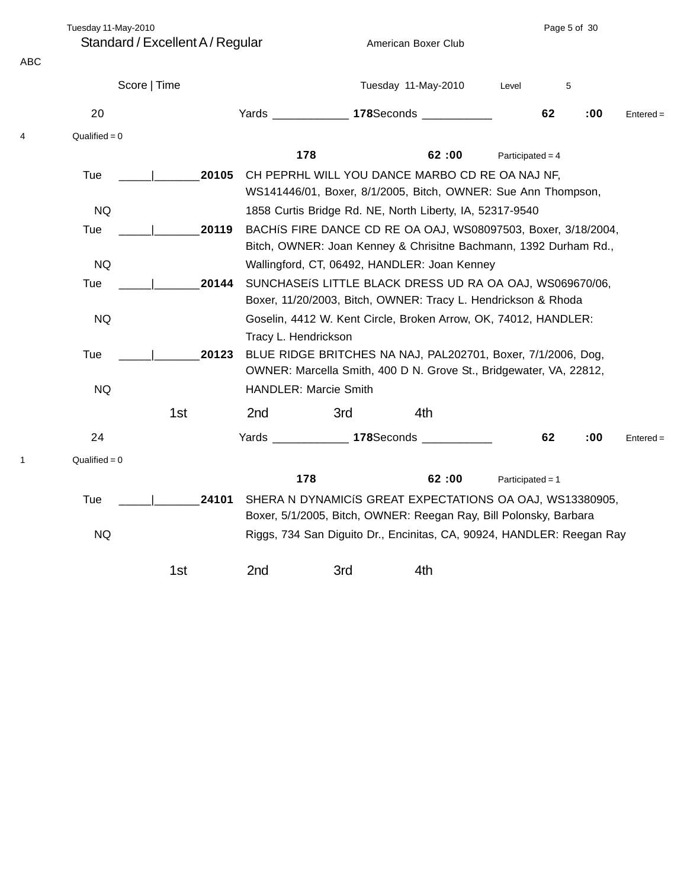|              | Tuesday 11-May-2010 |                                  |       |                         |     |                                                                                                                                                                                                                               |                    | Page 5 of 30 |     |             |
|--------------|---------------------|----------------------------------|-------|-------------------------|-----|-------------------------------------------------------------------------------------------------------------------------------------------------------------------------------------------------------------------------------|--------------------|--------------|-----|-------------|
|              |                     | Standard / Excellent A / Regular |       |                         |     | American Boxer Club                                                                                                                                                                                                           |                    |              |     |             |
| ABC          |                     |                                  |       |                         |     |                                                                                                                                                                                                                               |                    |              |     |             |
|              |                     | Score   Time                     |       |                         |     | Tuesday 11-May-2010                                                                                                                                                                                                           | Level              | 5            |     |             |
|              | 20                  |                                  |       | <b>Yards Example 19</b> |     | 178Seconds and the second state of the second state of the second state of the second state of the second state of the second state of the second state of the second state of the second state state state state state state |                    | 62           | :00 | $Entered =$ |
| 4            | $Qualified = 0$     |                                  |       |                         |     |                                                                                                                                                                                                                               |                    |              |     |             |
|              |                     |                                  |       | 178                     |     | 62:00                                                                                                                                                                                                                         | Participated = $4$ |              |     |             |
|              | Tue                 |                                  | 20105 |                         |     | CH PEPRHL WILL YOU DANCE MARBO CD RE OA NAJ NF,                                                                                                                                                                               |                    |              |     |             |
|              |                     |                                  |       |                         |     | WS141446/01, Boxer, 8/1/2005, Bitch, OWNER: Sue Ann Thompson,                                                                                                                                                                 |                    |              |     |             |
|              | <b>NQ</b>           |                                  |       |                         |     | 1858 Curtis Bridge Rd. NE, North Liberty, IA, 52317-9540                                                                                                                                                                      |                    |              |     |             |
|              | Tue                 |                                  | 20119 |                         |     | BACHIS FIRE DANCE CD RE OA OAJ, WS08097503, Boxer, 3/18/2004,<br>Bitch, OWNER: Joan Kenney & Chrisitne Bachmann, 1392 Durham Rd.,                                                                                             |                    |              |     |             |
|              | <b>NQ</b>           |                                  |       |                         |     | Wallingford, CT, 06492, HANDLER: Joan Kenney                                                                                                                                                                                  |                    |              |     |             |
|              | Tue                 |                                  | 20144 |                         |     | SUNCHASEIS LITTLE BLACK DRESS UD RA OA OAJ, WS069670/06,                                                                                                                                                                      |                    |              |     |             |
|              |                     |                                  |       |                         |     | Boxer, 11/20/2003, Bitch, OWNER: Tracy L. Hendrickson & Rhoda                                                                                                                                                                 |                    |              |     |             |
|              | <b>NQ</b>           |                                  |       |                         |     | Goselin, 4412 W. Kent Circle, Broken Arrow, OK, 74012, HANDLER:                                                                                                                                                               |                    |              |     |             |
|              |                     |                                  |       | Tracy L. Hendrickson    |     |                                                                                                                                                                                                                               |                    |              |     |             |
|              | Tue                 |                                  | 20123 |                         |     | BLUE RIDGE BRITCHES NA NAJ, PAL202701, Boxer, 7/1/2006, Dog,<br>OWNER: Marcella Smith, 400 D N. Grove St., Bridgewater, VA, 22812,                                                                                            |                    |              |     |             |
|              | <b>NQ</b>           |                                  |       | HANDLER: Marcie Smith   |     |                                                                                                                                                                                                                               |                    |              |     |             |
|              |                     | 1st                              |       | 2 <sub>nd</sub>         | 3rd | 4th                                                                                                                                                                                                                           |                    |              |     |             |
|              | 24                  |                                  |       |                         |     | Yards _________________ 178Seconds ______________                                                                                                                                                                             |                    | 62           | :00 | $Entered =$ |
| $\mathbf{1}$ | $Qualified = 0$     |                                  |       |                         |     |                                                                                                                                                                                                                               |                    |              |     |             |
|              |                     |                                  |       | 178                     |     | 62:00                                                                                                                                                                                                                         | Participated = $1$ |              |     |             |
|              | Tue                 |                                  | 24101 |                         |     | SHERA N DYNAMICIS GREAT EXPECTATIONS OA OAJ, WS13380905,<br>Boxer, 5/1/2005, Bitch, OWNER: Reegan Ray, Bill Polonsky, Barbara                                                                                                 |                    |              |     |             |
|              | <b>NQ</b>           |                                  |       |                         |     | Riggs, 734 San Diguito Dr., Encinitas, CA, 90924, HANDLER: Reegan Ray                                                                                                                                                         |                    |              |     |             |
|              |                     |                                  |       |                         |     |                                                                                                                                                                                                                               |                    |              |     |             |
|              |                     | 1st                              |       | 2nd                     | 3rd | 4th                                                                                                                                                                                                                           |                    |              |     |             |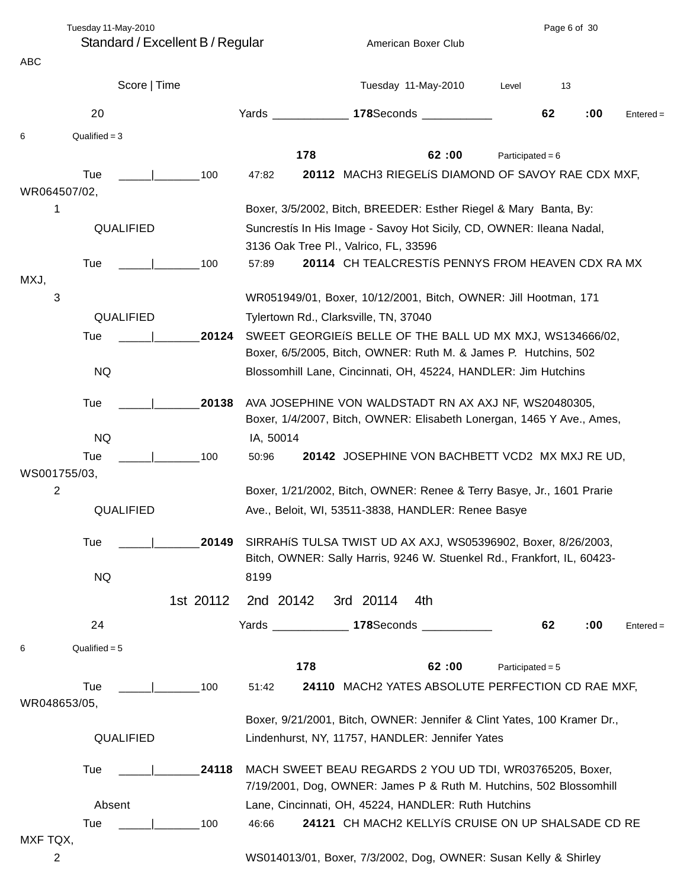|                | Tuesday 11-May-2010<br>Standard / Excellent B / Regular |              |                   |                             |     | American Boxer Club                   |                                                                         | Page 6 of 30       |    |     |             |
|----------------|---------------------------------------------------------|--------------|-------------------|-----------------------------|-----|---------------------------------------|-------------------------------------------------------------------------|--------------------|----|-----|-------------|
| ABC            |                                                         |              |                   |                             |     |                                       |                                                                         |                    |    |     |             |
|                |                                                         | Score   Time |                   |                             |     |                                       | Tuesday 11-May-2010                                                     | Level              | 13 |     |             |
|                | 20                                                      |              |                   | <b>Yards Exercise State</b> |     |                                       | 178Seconds ___________                                                  |                    | 62 | :00 | $Entered =$ |
| 6              | $Qualified = 3$                                         |              |                   |                             |     |                                       |                                                                         |                    |    |     |             |
|                |                                                         |              |                   |                             | 178 |                                       | 62:00                                                                   | Participated = $6$ |    |     |             |
|                | Tue                                                     |              | 100               | 47:82                       |     |                                       | 20112 MACH3 RIEGELIS DIAMOND OF SAVOY RAE CDX MXF,                      |                    |    |     |             |
| WR064507/02,   |                                                         |              |                   |                             |     |                                       |                                                                         |                    |    |     |             |
| 1              |                                                         |              |                   |                             |     |                                       | Boxer, 3/5/2002, Bitch, BREEDER: Esther Riegel & Mary Banta, By:        |                    |    |     |             |
|                | QUALIFIED                                               |              |                   |                             |     |                                       | Suncrestís In His Image - Savoy Hot Sicily, CD, OWNER: Ileana Nadal,    |                    |    |     |             |
|                |                                                         |              |                   |                             |     | 3136 Oak Tree Pl., Valrico, FL, 33596 |                                                                         |                    |    |     |             |
|                | Tue                                                     |              | 100               | 57:89                       |     |                                       | 20114 CH TEALCRESTIS PENNYS FROM HEAVEN CDX RAMX                        |                    |    |     |             |
| MXJ,           |                                                         |              |                   |                             |     |                                       |                                                                         |                    |    |     |             |
| 3              |                                                         |              |                   |                             |     |                                       | WR051949/01, Boxer, 10/12/2001, Bitch, OWNER: Jill Hootman, 171         |                    |    |     |             |
|                | QUALIFIED                                               |              |                   |                             |     | Tylertown Rd., Clarksville, TN, 37040 |                                                                         |                    |    |     |             |
|                | Tue                                                     |              | 20124             |                             |     |                                       | SWEET GEORGIEIS BELLE OF THE BALL UD MX MXJ, WS134666/02,               |                    |    |     |             |
|                |                                                         |              |                   |                             |     |                                       | Boxer, 6/5/2005, Bitch, OWNER: Ruth M. & James P. Hutchins, 502         |                    |    |     |             |
|                | <b>NQ</b>                                               |              |                   |                             |     |                                       | Blossomhill Lane, Cincinnati, OH, 45224, HANDLER: Jim Hutchins          |                    |    |     |             |
|                | Tue                                                     |              | 20138             |                             |     |                                       | AVA JOSEPHINE VON WALDSTADT RN AX AXJ NF, WS20480305,                   |                    |    |     |             |
|                |                                                         |              |                   |                             |     |                                       | Boxer, 1/4/2007, Bitch, OWNER: Elisabeth Lonergan, 1465 Y Ave., Ames,   |                    |    |     |             |
|                | <b>NQ</b>                                               |              |                   | IA, 50014                   |     |                                       |                                                                         |                    |    |     |             |
|                | Tue                                                     |              | 100               | 50:96                       |     |                                       | 20142 JOSEPHINE VON BACHBETT VCD2 MX MXJ RE UD,                         |                    |    |     |             |
| WS001755/03,   |                                                         |              |                   |                             |     |                                       |                                                                         |                    |    |     |             |
| 2              |                                                         |              |                   |                             |     |                                       | Boxer, 1/21/2002, Bitch, OWNER: Renee & Terry Basye, Jr., 1601 Prarie   |                    |    |     |             |
|                | <b>QUALIFIED</b>                                        |              |                   |                             |     |                                       | Ave., Beloit, WI, 53511-3838, HANDLER: Renee Basye                      |                    |    |     |             |
|                | Tue                                                     |              | 20149             |                             |     |                                       | SIRRAHIS TULSA TWIST UD AX AXJ, WS05396902, Boxer, 8/26/2003,           |                    |    |     |             |
|                |                                                         |              |                   |                             |     |                                       | Bitch, OWNER: Sally Harris, 9246 W. Stuenkel Rd., Frankfort, IL, 60423- |                    |    |     |             |
|                | <b>NQ</b>                                               |              |                   | 8199                        |     |                                       |                                                                         |                    |    |     |             |
|                |                                                         |              | 1st 20112         | 2nd 20142                   |     | 3rd 20114                             | 4th                                                                     |                    |    |     |             |
|                | 24                                                      |              |                   |                             |     |                                       | Yards ______________ 178Seconds __________                              |                    | 62 | :00 | $Entered =$ |
|                |                                                         |              |                   |                             |     |                                       |                                                                         |                    |    |     |             |
| 6              | Qualified $= 5$                                         |              |                   |                             |     |                                       |                                                                         |                    |    |     |             |
|                |                                                         |              |                   |                             | 178 |                                       | 62:00                                                                   | Participated = $5$ |    |     |             |
|                | Tue                                                     |              | $\frac{1}{1}$ 100 | 51:42                       |     |                                       | 24110 MACH2 YATES ABSOLUTE PERFECTION CD RAE MXF,                       |                    |    |     |             |
| WR048653/05,   |                                                         |              |                   |                             |     |                                       | Boxer, 9/21/2001, Bitch, OWNER: Jennifer & Clint Yates, 100 Kramer Dr., |                    |    |     |             |
|                | QUALIFIED                                               |              |                   |                             |     |                                       | Lindenhurst, NY, 11757, HANDLER: Jennifer Yates                         |                    |    |     |             |
|                |                                                         |              |                   |                             |     |                                       |                                                                         |                    |    |     |             |
|                | Tue                                                     |              | 24118             |                             |     |                                       | MACH SWEET BEAU REGARDS 2 YOU UD TDI, WR03765205, Boxer,                |                    |    |     |             |
|                |                                                         |              |                   |                             |     |                                       | 7/19/2001, Dog, OWNER: James P & Ruth M. Hutchins, 502 Blossomhill      |                    |    |     |             |
|                | Absent                                                  |              |                   |                             |     |                                       | Lane, Cincinnati, OH, 45224, HANDLER: Ruth Hutchins                     |                    |    |     |             |
|                | Tue                                                     |              | 100               | 46:66                       |     |                                       | 24121 CH MACH2 KELLYIS CRUISE ON UP SHALSADE CD RE                      |                    |    |     |             |
| MXF TQX,       |                                                         |              |                   |                             |     |                                       |                                                                         |                    |    |     |             |
| $\overline{2}$ |                                                         |              |                   |                             |     |                                       | WS014013/01, Boxer, 7/3/2002, Dog, OWNER: Susan Kelly & Shirley         |                    |    |     |             |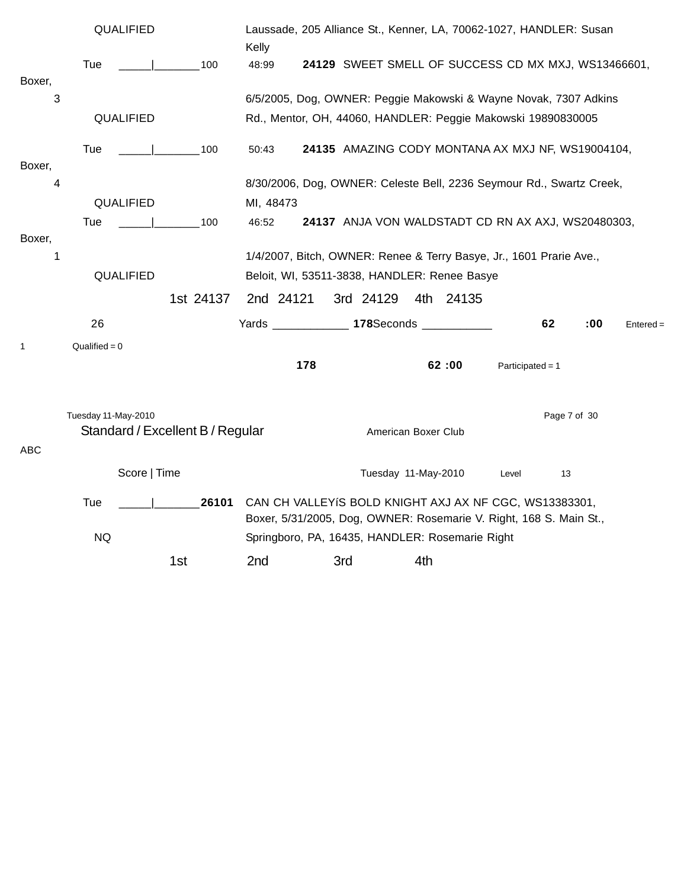|              |                     | QUALIFIED    |                                  | Kelly     |     |           | Laussade, 205 Alliance St., Kenner, LA, 70062-1027, HANDLER: Susan                                                                                                              |                    |              |     |             |
|--------------|---------------------|--------------|----------------------------------|-----------|-----|-----------|---------------------------------------------------------------------------------------------------------------------------------------------------------------------------------|--------------------|--------------|-----|-------------|
| Boxer,       | Tue                 |              | 100                              | 48:99     |     |           | 24129 SWEET SMELL OF SUCCESS CD MX MXJ, WS13466601,                                                                                                                             |                    |              |     |             |
| 3            |                     |              |                                  |           |     |           | 6/5/2005, Dog, OWNER: Peggie Makowski & Wayne Novak, 7307 Adkins                                                                                                                |                    |              |     |             |
|              |                     | QUALIFIED    |                                  |           |     |           | Rd., Mentor, OH, 44060, HANDLER: Peggie Makowski 19890830005                                                                                                                    |                    |              |     |             |
| Boxer,       | Tue                 |              | 100                              | 50:43     |     |           | 24135 AMAZING CODY MONTANA AX MXJ NF, WS19004104,                                                                                                                               |                    |              |     |             |
| 4            |                     |              |                                  |           |     |           | 8/30/2006, Dog, OWNER: Celeste Bell, 2236 Seymour Rd., Swartz Creek,                                                                                                            |                    |              |     |             |
|              |                     | QUALIFIED    |                                  | MI, 48473 |     |           |                                                                                                                                                                                 |                    |              |     |             |
| Boxer,       | Tue                 |              | 100                              | 46:52     |     |           | 24137 ANJA VON WALDSTADT CD RN AX AXJ, WS20480303,                                                                                                                              |                    |              |     |             |
| 1            |                     |              |                                  |           |     |           | 1/4/2007, Bitch, OWNER: Renee & Terry Basye, Jr., 1601 Prarie Ave.,                                                                                                             |                    |              |     |             |
|              |                     | QUALIFIED    |                                  |           |     |           | Beloit, WI, 53511-3838, HANDLER: Renee Basye                                                                                                                                    |                    |              |     |             |
|              |                     |              | 1st 24137                        | 2nd 24121 |     | 3rd 24129 | 4th 24135                                                                                                                                                                       |                    |              |     |             |
|              | 26                  |              |                                  |           |     |           | Yards _________________ 178Seconds ______________                                                                                                                               |                    | 62           | :00 | $Entered =$ |
| $\mathbf{1}$ | Qualified = $0$     |              |                                  |           |     |           |                                                                                                                                                                                 |                    |              |     |             |
|              |                     |              |                                  |           | 178 |           | 62:00                                                                                                                                                                           | Participated = $1$ |              |     |             |
| <b>ABC</b>   | Tuesday 11-May-2010 |              | Standard / Excellent B / Regular |           |     |           | American Boxer Club                                                                                                                                                             |                    | Page 7 of 30 |     |             |
|              |                     | Score   Time |                                  |           |     |           | Tuesday 11-May-2010                                                                                                                                                             | Level              | 13           |     |             |
|              | Tue<br><b>NQ</b>    |              | 26101                            |           |     |           | CAN CH VALLEYIS BOLD KNIGHT AXJ AX NF CGC, WS13383301,<br>Boxer, 5/31/2005, Dog, OWNER: Rosemarie V. Right, 168 S. Main St.,<br>Springboro, PA, 16435, HANDLER: Rosemarie Right |                    |              |     |             |
|              |                     |              | 1st                              | 2nd       | 3rd |           | 4th                                                                                                                                                                             |                    |              |     |             |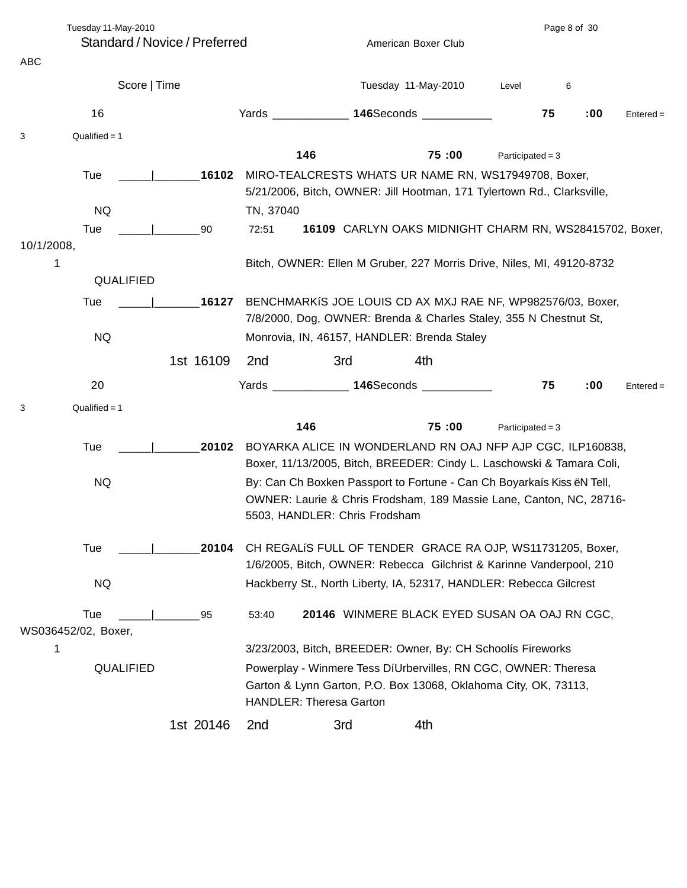|            | Tuesday 11-May-2010           |           |                             |                                |                                                                                                                                     |                    | Page 8 of 30 |     |             |
|------------|-------------------------------|-----------|-----------------------------|--------------------------------|-------------------------------------------------------------------------------------------------------------------------------------|--------------------|--------------|-----|-------------|
|            | Standard / Novice / Preferred |           |                             |                                | American Boxer Club                                                                                                                 |                    |              |     |             |
| ABC        |                               |           |                             |                                |                                                                                                                                     |                    |              |     |             |
|            | Score   Time                  |           |                             |                                | Tuesday 11-May-2010                                                                                                                 | Level              | 6            |     |             |
|            | 16                            |           | <b>Yards Example 19</b>     |                                | 146Seconds ____________                                                                                                             |                    | 75           | :00 | $Entered =$ |
| 3          | $Qualified = 1$               |           |                             |                                |                                                                                                                                     |                    |              |     |             |
|            |                               |           |                             | 146                            | 75:00                                                                                                                               | Participated = $3$ |              |     |             |
|            | <b>Tue</b>                    | 16102     |                             |                                | MIRO-TEALCRESTS WHATS UR NAME RN, WS17949708, Boxer,                                                                                |                    |              |     |             |
|            |                               |           |                             |                                | 5/21/2006, Bitch, OWNER: Jill Hootman, 171 Tylertown Rd., Clarksville,                                                              |                    |              |     |             |
|            | <b>NQ</b>                     |           | TN, 37040                   |                                |                                                                                                                                     |                    |              |     |             |
|            | Tue                           | 90        | 72:51                       |                                | 16109 CARLYN OAKS MIDNIGHT CHARM RN, WS28415702, Boxer,                                                                             |                    |              |     |             |
| 10/1/2008, |                               |           |                             |                                |                                                                                                                                     |                    |              |     |             |
| 1          |                               |           |                             |                                | Bitch, OWNER: Ellen M Gruber, 227 Morris Drive, Niles, MI, 49120-8732                                                               |                    |              |     |             |
|            | QUALIFIED                     |           |                             |                                |                                                                                                                                     |                    |              |     |             |
|            | Tue                           | 16127     |                             |                                | BENCHMARKIS JOE LOUIS CD AX MXJ RAE NF, WP982576/03, Boxer,                                                                         |                    |              |     |             |
|            |                               |           |                             |                                | 7/8/2000, Dog, OWNER: Brenda & Charles Staley, 355 N Chestnut St,                                                                   |                    |              |     |             |
|            | <b>NQ</b>                     |           |                             |                                | Monrovia, IN, 46157, HANDLER: Brenda Staley                                                                                         |                    |              |     |             |
|            |                               | 1st 16109 | 2nd                         | 3rd                            | 4th                                                                                                                                 |                    |              |     |             |
|            |                               |           |                             |                                |                                                                                                                                     |                    |              |     |             |
|            | 20                            |           | <b>Yards Exercise State</b> |                                | 146Seconds __________                                                                                                               |                    | 75           | :00 | $Entered =$ |
| 3          | $Qualified = 1$               |           |                             |                                |                                                                                                                                     |                    |              |     |             |
|            |                               |           |                             |                                |                                                                                                                                     |                    |              |     |             |
|            |                               |           |                             | 146                            | 75:00                                                                                                                               | Participated = $3$ |              |     |             |
|            | <b>Tue</b>                    | 20102     |                             |                                | BOYARKA ALICE IN WONDERLAND RN OAJ NFP AJP CGC, ILP160838,<br>Boxer, 11/13/2005, Bitch, BREEDER: Cindy L. Laschowski & Tamara Coli, |                    |              |     |             |
|            | <b>NQ</b>                     |           |                             |                                | By: Can Ch Boxken Passport to Fortune - Can Ch Boyarkaís Kiss ëN Tell,                                                              |                    |              |     |             |
|            |                               |           |                             |                                | OWNER: Laurie & Chris Frodsham, 189 Massie Lane, Canton, NC, 28716-                                                                 |                    |              |     |             |
|            |                               |           |                             | 5503, HANDLER: Chris Frodsham  |                                                                                                                                     |                    |              |     |             |
|            |                               |           |                             |                                |                                                                                                                                     |                    |              |     |             |
|            | Tue                           | 20104     |                             |                                | CH REGALIS FULL OF TENDER GRACE RA OJP, WS11731205, Boxer,                                                                          |                    |              |     |             |
|            |                               |           |                             |                                | 1/6/2005, Bitch, OWNER: Rebecca Gilchrist & Karinne Vanderpool, 210                                                                 |                    |              |     |             |
|            | <b>NQ</b>                     |           |                             |                                | Hackberry St., North Liberty, IA, 52317, HANDLER: Rebecca Gilcrest                                                                  |                    |              |     |             |
|            | Tue                           | 95        | 53:40                       |                                | 20146 WINMERE BLACK EYED SUSAN OA OAJ RN CGC,                                                                                       |                    |              |     |             |
|            | WS036452/02, Boxer,           |           |                             |                                |                                                                                                                                     |                    |              |     |             |
| 1          |                               |           |                             |                                | 3/23/2003, Bitch, BREEDER: Owner, By: CH Schoolís Fireworks                                                                         |                    |              |     |             |
|            | QUALIFIED                     |           |                             |                                | Powerplay - Winmere Tess DíUrbervilles, RN CGC, OWNER: Theresa                                                                      |                    |              |     |             |
|            |                               |           |                             | <b>HANDLER: Theresa Garton</b> | Garton & Lynn Garton, P.O. Box 13068, Oklahoma City, OK, 73113,                                                                     |                    |              |     |             |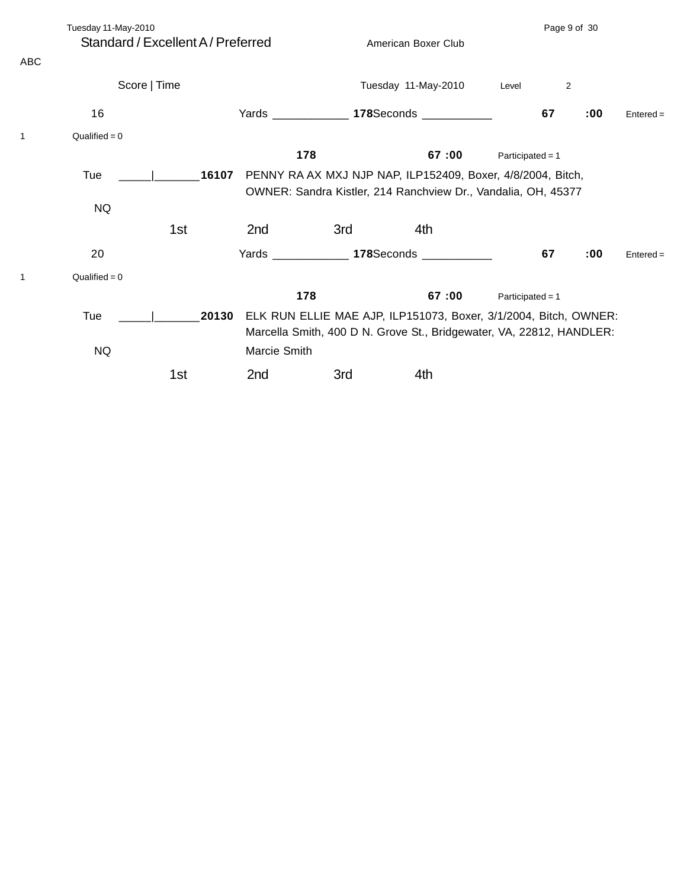| ABC | Tuesday 11-May-2010 | Standard / Excellent A / Preferred |                           |     | American Boxer Club                                                                                                                      |                    | Page 9 of 30 |     |             |
|-----|---------------------|------------------------------------|---------------------------|-----|------------------------------------------------------------------------------------------------------------------------------------------|--------------------|--------------|-----|-------------|
|     |                     | Score   Time                       |                           |     | Tuesday 11-May-2010                                                                                                                      | Level              | 2            |     |             |
|     | 16                  |                                    | Yards ______________      |     | 178Seconds ____________                                                                                                                  |                    | 67           | :00 | $Entered =$ |
|     | $Qualified = 0$     |                                    |                           |     |                                                                                                                                          |                    |              |     |             |
|     |                     |                                    |                           | 178 | 67:00                                                                                                                                    | Participated = $1$ |              |     |             |
|     | Tue                 |                                    | 16107                     |     | PENNY RA AX MXJ NJP NAP, ILP152409, Boxer, 4/8/2004, Bitch,<br>OWNER: Sandra Kistler, 214 Ranchview Dr., Vandalia, OH, 45377             |                    |              |     |             |
|     | <b>NQ</b>           |                                    |                           |     |                                                                                                                                          |                    |              |     |             |
|     |                     | 1st                                | 2nd                       | 3rd | 4th                                                                                                                                      |                    |              |     |             |
|     | 20                  |                                    | <b>Yards Example 2019</b> |     | 178Seconds ____________                                                                                                                  |                    | 67           | :00 | $Entered =$ |
|     | $Qualified = 0$     |                                    |                           |     |                                                                                                                                          |                    |              |     |             |
|     |                     |                                    |                           | 178 | 67:00                                                                                                                                    | Participated = $1$ |              |     |             |
|     | Tue                 |                                    | 20130                     |     | ELK RUN ELLIE MAE AJP, ILP151073, Boxer, 3/1/2004, Bitch, OWNER:<br>Marcella Smith, 400 D N. Grove St., Bridgewater, VA, 22812, HANDLER: |                    |              |     |             |
|     | <b>NQ</b>           |                                    | Marcie Smith              |     |                                                                                                                                          |                    |              |     |             |
|     |                     | 1st                                | 2nd                       | 3rd | 4th                                                                                                                                      |                    |              |     |             |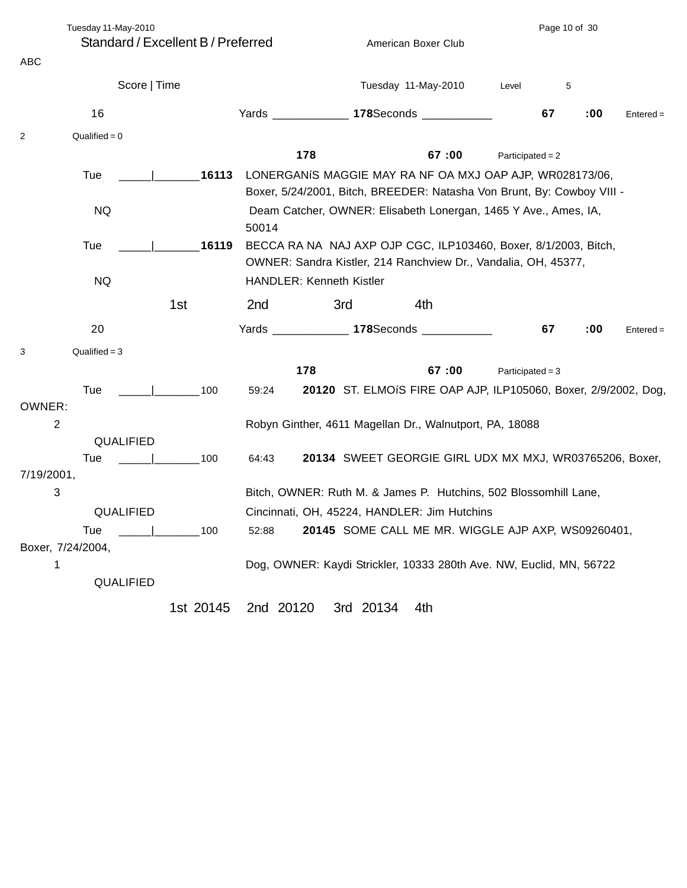| ABC                      | Tuesday 11-May-2010 | Standard / Excellent B / Preferred |                                 |                                                                                                                                    | American Boxer Club     |                    | Page 10 of 30 |     |             |
|--------------------------|---------------------|------------------------------------|---------------------------------|------------------------------------------------------------------------------------------------------------------------------------|-------------------------|--------------------|---------------|-----|-------------|
|                          | Score   Time        |                                    |                                 |                                                                                                                                    | Tuesday 11-May-2010     | Level              | 5             |     |             |
|                          | 16                  |                                    | <b>Yards Example 20</b>         |                                                                                                                                    | 178Seconds ____________ |                    | 67            | :00 | $Entered =$ |
| 2                        | $Qualified = 0$     |                                    |                                 |                                                                                                                                    |                         |                    |               |     |             |
|                          |                     |                                    | 178                             |                                                                                                                                    | 67:00                   | Participated = $2$ |               |     |             |
|                          | Tue                 | 16113                              |                                 | LONERGANIS MAGGIE MAY RA NF OA MXJ OAP AJP, WR028173/06,<br>Boxer, 5/24/2001, Bitch, BREEDER: Natasha Von Brunt, By: Cowboy VIII - |                         |                    |               |     |             |
|                          | <b>NQ</b>           |                                    | 50014                           | Deam Catcher, OWNER: Elisabeth Lonergan, 1465 Y Ave., Ames, IA,                                                                    |                         |                    |               |     |             |
|                          | Tue                 | 16119                              |                                 | BECCA RA NA NAJ AXP OJP CGC, ILP103460, Boxer, 8/1/2003, Bitch,<br>OWNER: Sandra Kistler, 214 Ranchview Dr., Vandalia, OH, 45377,  |                         |                    |               |     |             |
|                          | <b>NQ</b>           |                                    | <b>HANDLER: Kenneth Kistler</b> |                                                                                                                                    |                         |                    |               |     |             |
|                          |                     | 1st                                | 2 <sub>nd</sub>                 | 3rd                                                                                                                                | 4th                     |                    |               |     |             |
|                          | 20                  |                                    |                                 | Yards <b>178</b> Seconds <b>1888</b>                                                                                               |                         |                    | 67            | :00 | $Entered =$ |
| 3                        | $Qualified = 3$     |                                    |                                 |                                                                                                                                    |                         |                    |               |     |             |
|                          |                     |                                    | 178                             |                                                                                                                                    | 67:00                   | Participated = $3$ |               |     |             |
|                          | Tue                 | 100                                | 59:24                           | 20120 ST. ELMOIS FIRE OAP AJP, ILP105060, Boxer, 2/9/2002, Dog,                                                                    |                         |                    |               |     |             |
| OWNER:<br>$\overline{2}$ |                     |                                    |                                 |                                                                                                                                    |                         |                    |               |     |             |
|                          | QUALIFIED           |                                    |                                 | Robyn Ginther, 4611 Magellan Dr., Walnutport, PA, 18088                                                                            |                         |                    |               |     |             |
|                          | Tue                 | 100                                | 64:43                           | 20134 SWEET GEORGIE GIRL UDX MX MXJ, WR03765206, Boxer,                                                                            |                         |                    |               |     |             |
| 7/19/2001,               |                     |                                    |                                 |                                                                                                                                    |                         |                    |               |     |             |
| 3                        |                     |                                    |                                 | Bitch, OWNER: Ruth M. & James P. Hutchins, 502 Blossomhill Lane,                                                                   |                         |                    |               |     |             |
|                          | QUALIFIED           |                                    |                                 | Cincinnati, OH, 45224, HANDLER: Jim Hutchins                                                                                       |                         |                    |               |     |             |
|                          | Tue                 | 100                                | 52:88                           | 20145 SOME CALL ME MR. WIGGLE AJP AXP, WS09260401,                                                                                 |                         |                    |               |     |             |
| Boxer, 7/24/2004,        |                     |                                    |                                 |                                                                                                                                    |                         |                    |               |     |             |
| 1                        | QUALIFIED           |                                    |                                 | Dog, OWNER: Kaydi Strickler, 10333 280th Ave. NW, Euclid, MN, 56722                                                                |                         |                    |               |     |             |
|                          |                     | 1st 20145                          | 2nd 20120                       | 3rd 20134                                                                                                                          | 4th                     |                    |               |     |             |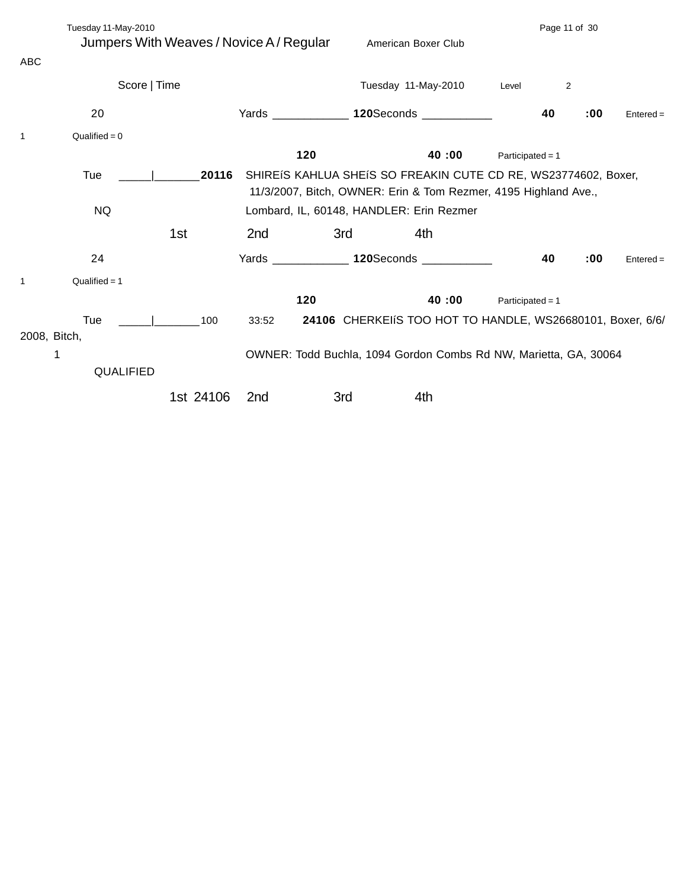| <b>ABC</b>   | Tuesday 11-May-2010 | Jumpers With Weaves / Novice A / Regular |                 |     | American Boxer Club                                                                                                               |                    | Page 11 of 30 |             |
|--------------|---------------------|------------------------------------------|-----------------|-----|-----------------------------------------------------------------------------------------------------------------------------------|--------------------|---------------|-------------|
|              |                     | Score   Time                             |                 |     | Tuesday 11-May-2010                                                                                                               | Level              | 2             |             |
|              | 20                  |                                          |                 |     | Yards ________________ 120Seconds ____________                                                                                    | 40                 | :00           | $Entered =$ |
| -1           | Qualified = $0$     |                                          |                 |     |                                                                                                                                   |                    |               |             |
|              |                     |                                          |                 | 120 | 40:00                                                                                                                             | Participated = $1$ |               |             |
|              | Tue                 | 20116                                    |                 |     | SHIREIS KAHLUA SHEIS SO FREAKIN CUTE CD RE, WS23774602, Boxer,<br>11/3/2007, Bitch, OWNER: Erin & Tom Rezmer, 4195 Highland Ave., |                    |               |             |
|              | NQ.                 |                                          |                 |     | Lombard, IL, 60148, HANDLER: Erin Rezmer                                                                                          |                    |               |             |
|              |                     | 1st                                      | 2nd             | 3rd | 4th                                                                                                                               |                    |               |             |
|              | 24                  |                                          |                 |     | Yards 120Seconds 2008                                                                                                             | 40                 | :00           | $Entered =$ |
| $\mathbf 1$  | $Qualified = 1$     |                                          |                 |     |                                                                                                                                   |                    |               |             |
|              |                     |                                          |                 | 120 | 40:00                                                                                                                             | Participated = $1$ |               |             |
|              | Tue                 | 100                                      | 33:52           |     | 24106 CHERKEIS TOO HOT TO HANDLE, WS26680101, Boxer, 6/6/                                                                         |                    |               |             |
| 2008, Bitch, |                     |                                          |                 |     |                                                                                                                                   |                    |               |             |
| 1            | QUALIFIED           |                                          |                 |     | OWNER: Todd Buchla, 1094 Gordon Combs Rd NW, Marietta, GA, 30064                                                                  |                    |               |             |
|              |                     | 1st 24106                                | 2 <sub>nd</sub> | 3rd | 4th                                                                                                                               |                    |               |             |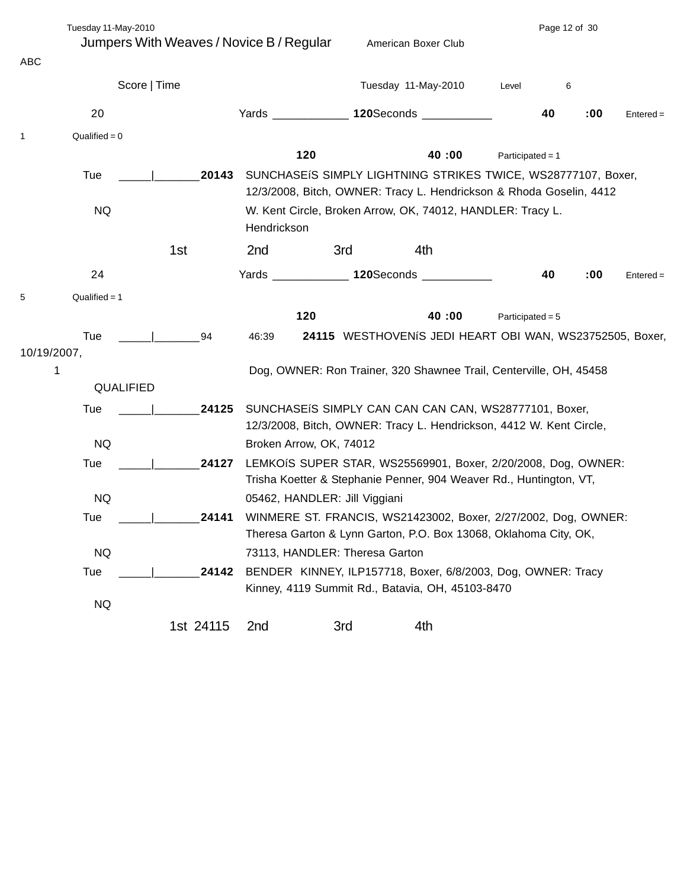| ABC              | Tuesday 11-May-2010 |              | Jumpers With Weaves / Novice B / Regular |             |                         |                                | American Boxer Club                                                                                                                  |                    | Page 12 of 30 |     |             |
|------------------|---------------------|--------------|------------------------------------------|-------------|-------------------------|--------------------------------|--------------------------------------------------------------------------------------------------------------------------------------|--------------------|---------------|-----|-------------|
|                  |                     | Score   Time |                                          |             |                         |                                | Tuesday 11-May-2010                                                                                                                  | Level              | 6             |     |             |
|                  | 20                  |              |                                          |             | Yards ______________    |                                | 120Seconds ____________                                                                                                              |                    | 40            | :00 | $Entered =$ |
| $\mathbf{1}$     | $Qualified = 0$     |              |                                          |             |                         |                                |                                                                                                                                      |                    |               |     |             |
|                  |                     |              |                                          |             | 120                     |                                | 40:00                                                                                                                                | Participated = $1$ |               |     |             |
|                  | Tue                 |              | 20143                                    |             |                         |                                | SUNCHASEIS SIMPLY LIGHTNING STRIKES TWICE, WS28777107, Boxer,<br>12/3/2008, Bitch, OWNER: Tracy L. Hendrickson & Rhoda Goselin, 4412 |                    |               |     |             |
|                  | <b>NQ</b>           |              |                                          | Hendrickson |                         |                                | W. Kent Circle, Broken Arrow, OK, 74012, HANDLER: Tracy L.                                                                           |                    |               |     |             |
|                  |                     |              | 1st                                      | 2nd         |                         | 3rd                            | 4th                                                                                                                                  |                    |               |     |             |
|                  | 24                  |              |                                          |             |                         |                                | Yards ______________ 120Seconds __________                                                                                           |                    | 40            | :00 | $Entered =$ |
| 5                | $Qualified = 1$     |              |                                          |             |                         |                                |                                                                                                                                      |                    |               |     |             |
|                  |                     |              |                                          |             | 120                     |                                | 40:00                                                                                                                                | Participated = $5$ |               |     |             |
|                  | Tue                 |              | 94                                       | 46:39       |                         |                                | 24115 WESTHOVENIS JEDI HEART OBI WAN, WS23752505, Boxer,                                                                             |                    |               |     |             |
| 10/19/2007,<br>1 |                     |              |                                          |             |                         |                                | Dog, OWNER: Ron Trainer, 320 Shawnee Trail, Centerville, OH, 45458                                                                   |                    |               |     |             |
|                  |                     | QUALIFIED    |                                          |             |                         |                                |                                                                                                                                      |                    |               |     |             |
|                  | Tue                 |              | 24125                                    |             |                         |                                | SUNCHASEIS SIMPLY CAN CAN CAN CAN, WS28777101, Boxer,                                                                                |                    |               |     |             |
|                  |                     |              |                                          |             |                         |                                | 12/3/2008, Bitch, OWNER: Tracy L. Hendrickson, 4412 W. Kent Circle,                                                                  |                    |               |     |             |
|                  | <b>NQ</b>           |              |                                          |             | Broken Arrow, OK, 74012 |                                |                                                                                                                                      |                    |               |     |             |
|                  | Tue                 |              | 24127                                    |             |                         |                                | LEMKOIS SUPER STAR, WS25569901, Boxer, 2/20/2008, Dog, OWNER:<br>Trisha Koetter & Stephanie Penner, 904 Weaver Rd., Huntington, VT,  |                    |               |     |             |
|                  | <b>NQ</b>           |              |                                          |             |                         | 05462, HANDLER: Jill Viggiani  |                                                                                                                                      |                    |               |     |             |
|                  | Tue                 |              | 24141                                    |             |                         |                                | WINMERE ST. FRANCIS, WS21423002, Boxer, 2/27/2002, Dog, OWNER:                                                                       |                    |               |     |             |
|                  |                     |              |                                          |             |                         |                                | Theresa Garton & Lynn Garton, P.O. Box 13068, Oklahoma City, OK,                                                                     |                    |               |     |             |
|                  | <b>NQ</b>           |              |                                          |             |                         | 73113, HANDLER: Theresa Garton |                                                                                                                                      |                    |               |     |             |
|                  | Tue                 |              | 24142                                    |             |                         |                                | BENDER KINNEY, ILP157718, Boxer, 6/8/2003, Dog, OWNER: Tracy<br>Kinney, 4119 Summit Rd., Batavia, OH, 45103-8470                     |                    |               |     |             |
|                  | <b>NQ</b>           |              |                                          |             |                         |                                |                                                                                                                                      |                    |               |     |             |
|                  |                     |              | 1st 24115                                | 2nd         |                         | 3rd                            | 4th                                                                                                                                  |                    |               |     |             |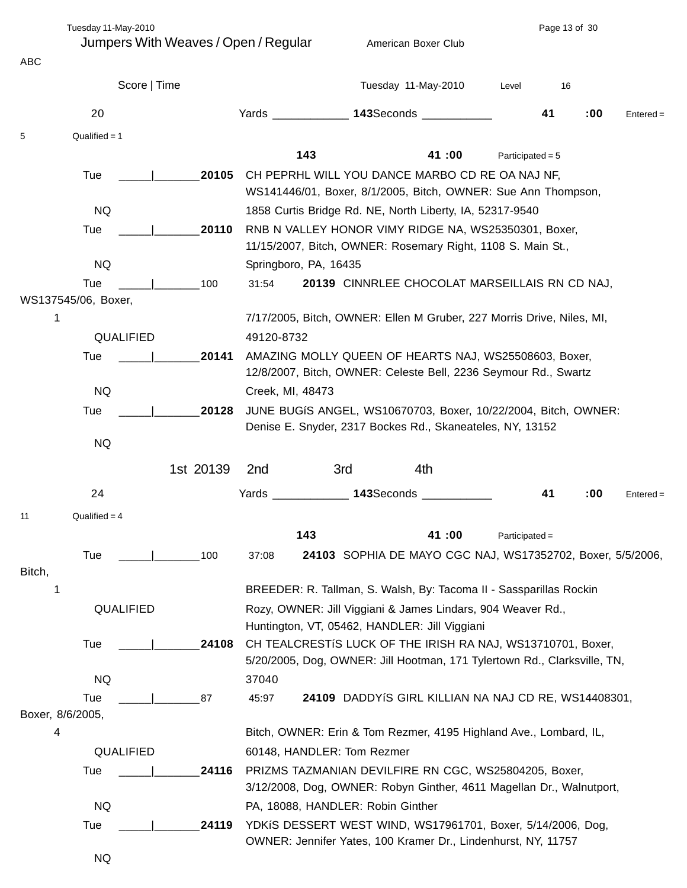|        | Tuesday 11-May-2010                  |           |                           |                                   |                                                                                                                                                                                                                                |                    | Page 13 of 30 |     |             |
|--------|--------------------------------------|-----------|---------------------------|-----------------------------------|--------------------------------------------------------------------------------------------------------------------------------------------------------------------------------------------------------------------------------|--------------------|---------------|-----|-------------|
|        | Jumpers With Weaves / Open / Regular |           |                           |                                   | American Boxer Club                                                                                                                                                                                                            |                    |               |     |             |
| ABC    |                                      |           |                           |                                   |                                                                                                                                                                                                                                |                    |               |     |             |
|        | Score   Time                         |           |                           |                                   | Tuesday 11-May-2010                                                                                                                                                                                                            | Level              | 16            |     |             |
|        | 20                                   |           | Yards ______________      |                                   | 143Seconds ____________                                                                                                                                                                                                        |                    | 41            | :00 | $Entered =$ |
| 5      | $Qualified = 1$                      |           |                           |                                   |                                                                                                                                                                                                                                |                    |               |     |             |
|        |                                      |           |                           | 143                               | 41:00                                                                                                                                                                                                                          | Participated = $5$ |               |     |             |
|        | Tue                                  | 20105     |                           |                                   | CH PEPRHL WILL YOU DANCE MARBO CD RE OA NAJ NF,                                                                                                                                                                                |                    |               |     |             |
|        |                                      |           |                           |                                   | WS141446/01, Boxer, 8/1/2005, Bitch, OWNER: Sue Ann Thompson,                                                                                                                                                                  |                    |               |     |             |
|        | <b>NQ</b>                            |           |                           |                                   | 1858 Curtis Bridge Rd. NE, North Liberty, IA, 52317-9540                                                                                                                                                                       |                    |               |     |             |
|        | Tue                                  | 20110     |                           |                                   | RNB N VALLEY HONOR VIMY RIDGE NA, WS25350301, Boxer,                                                                                                                                                                           |                    |               |     |             |
|        |                                      |           |                           |                                   | 11/15/2007, Bitch, OWNER: Rosemary Right, 1108 S. Main St.,                                                                                                                                                                    |                    |               |     |             |
|        | <b>NQ</b>                            |           |                           | Springboro, PA, 16435             |                                                                                                                                                                                                                                |                    |               |     |             |
|        | Tue                                  | 100       | 31:54                     |                                   | 20139 CINNRLEE CHOCOLAT MARSEILLAIS RN CD NAJ,                                                                                                                                                                                 |                    |               |     |             |
|        | WS137545/06, Boxer,                  |           |                           |                                   |                                                                                                                                                                                                                                |                    |               |     |             |
| 1      |                                      |           |                           |                                   | 7/17/2005, Bitch, OWNER: Ellen M Gruber, 227 Morris Drive, Niles, MI,                                                                                                                                                          |                    |               |     |             |
|        | QUALIFIED                            |           | 49120-8732                |                                   |                                                                                                                                                                                                                                |                    |               |     |             |
|        | Tue                                  | 20141     |                           |                                   | AMAZING MOLLY QUEEN OF HEARTS NAJ, WS25508603, Boxer,<br>12/8/2007, Bitch, OWNER: Celeste Bell, 2236 Seymour Rd., Swartz                                                                                                       |                    |               |     |             |
|        | <b>NQ</b>                            |           | Creek, MI, 48473          |                                   |                                                                                                                                                                                                                                |                    |               |     |             |
|        | Tue                                  | 20128     |                           |                                   | JUNE BUGIS ANGEL, WS10670703, Boxer, 10/22/2004, Bitch, OWNER:                                                                                                                                                                 |                    |               |     |             |
|        | <b>NQ</b>                            |           |                           |                                   | Denise E. Snyder, 2317 Bockes Rd., Skaneateles, NY, 13152                                                                                                                                                                      |                    |               |     |             |
|        |                                      |           |                           |                                   |                                                                                                                                                                                                                                |                    |               |     |             |
|        |                                      |           |                           |                                   |                                                                                                                                                                                                                                |                    |               |     |             |
|        |                                      | 1st 20139 | 2nd                       | 3rd                               | 4th                                                                                                                                                                                                                            |                    |               |     |             |
|        | 24                                   |           | <b>Yards Example 2008</b> |                                   | 143Seconds and the state of the state of the state of the state of the state of the state of the state of the state of the state of the state of the state of the state of the state of the state of the state of the state of |                    | 41            | :00 | $Entered =$ |
| 11     | Qualified $=$ 4                      |           |                           |                                   |                                                                                                                                                                                                                                |                    |               |     |             |
|        |                                      |           |                           | 143                               | 41:00                                                                                                                                                                                                                          | $Participated =$   |               |     |             |
|        | Tue                                  | 100       | 37:08                     |                                   | 24103 SOPHIA DE MAYO CGC NAJ, WS17352702, Boxer, 5/5/2006,                                                                                                                                                                     |                    |               |     |             |
| Bitch, |                                      |           |                           |                                   |                                                                                                                                                                                                                                |                    |               |     |             |
| 1      |                                      |           |                           |                                   | BREEDER: R. Tallman, S. Walsh, By: Tacoma II - Sassparillas Rockin                                                                                                                                                             |                    |               |     |             |
|        | QUALIFIED                            |           |                           |                                   | Rozy, OWNER: Jill Viggiani & James Lindars, 904 Weaver Rd.,                                                                                                                                                                    |                    |               |     |             |
|        |                                      |           |                           |                                   | Huntington, VT, 05462, HANDLER: Jill Viggiani                                                                                                                                                                                  |                    |               |     |             |
|        | Tue                                  | 24108     |                           |                                   | CH TEALCRESTIS LUCK OF THE IRISH RA NAJ, WS13710701, Boxer,                                                                                                                                                                    |                    |               |     |             |
|        |                                      |           |                           |                                   | 5/20/2005, Dog, OWNER: Jill Hootman, 171 Tylertown Rd., Clarksville, TN,                                                                                                                                                       |                    |               |     |             |
|        | <b>NQ</b>                            |           | 37040                     |                                   |                                                                                                                                                                                                                                |                    |               |     |             |
|        | Tue                                  | 87        | 45:97                     |                                   | 24109 DADDYIS GIRL KILLIAN NA NAJ CD RE, WS14408301,                                                                                                                                                                           |                    |               |     |             |
|        | Boxer, 8/6/2005,                     |           |                           |                                   |                                                                                                                                                                                                                                |                    |               |     |             |
| 4      |                                      |           |                           |                                   | Bitch, OWNER: Erin & Tom Rezmer, 4195 Highland Ave., Lombard, IL,                                                                                                                                                              |                    |               |     |             |
|        | QUALIFIED                            |           |                           | 60148, HANDLER: Tom Rezmer        |                                                                                                                                                                                                                                |                    |               |     |             |
|        | Tue                                  | 24116     |                           |                                   | PRIZMS TAZMANIAN DEVILFIRE RN CGC, WS25804205, Boxer,<br>3/12/2008, Dog, OWNER: Robyn Ginther, 4611 Magellan Dr., Walnutport,                                                                                                  |                    |               |     |             |
|        | <b>NQ</b>                            |           |                           | PA, 18088, HANDLER: Robin Ginther |                                                                                                                                                                                                                                |                    |               |     |             |
|        | <b>Tue</b>                           | 24119     |                           |                                   | YDKIS DESSERT WEST WIND, WS17961701, Boxer, 5/14/2006, Dog,                                                                                                                                                                    |                    |               |     |             |
|        | <b>NQ</b>                            |           |                           |                                   | OWNER: Jennifer Yates, 100 Kramer Dr., Lindenhurst, NY, 11757                                                                                                                                                                  |                    |               |     |             |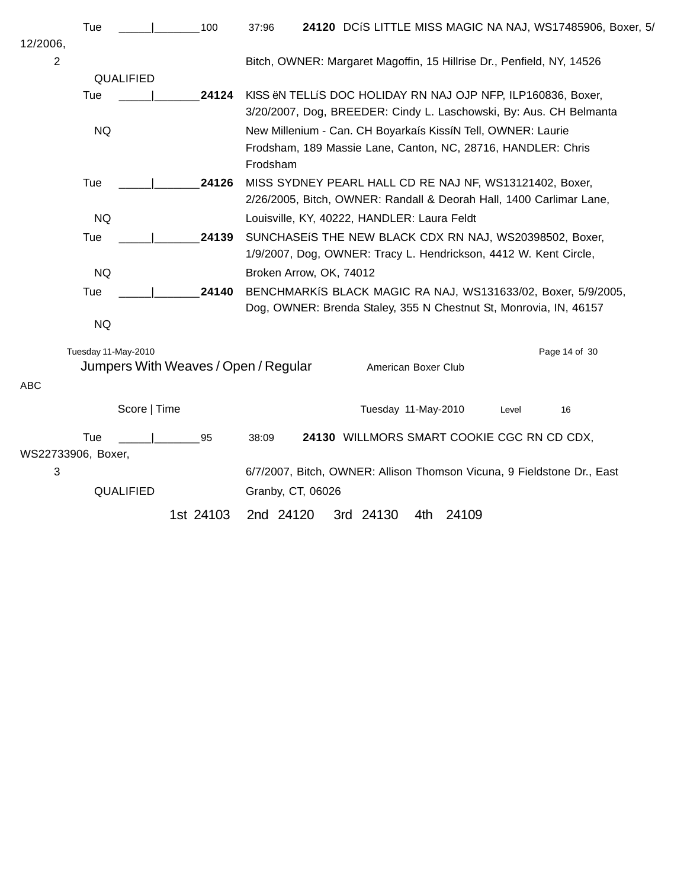|          | Tue                 | 100                                  |       | 24120 DCíS LITTLE MISS MAGIC NA NAJ, WS17485906, Boxer, 5/<br>37:96      |
|----------|---------------------|--------------------------------------|-------|--------------------------------------------------------------------------|
| 12/2006, |                     |                                      |       |                                                                          |
| 2        |                     |                                      |       | Bitch, OWNER: Margaret Magoffin, 15 Hillrise Dr., Penfield, NY, 14526    |
|          | QUALIFIED           |                                      |       |                                                                          |
|          | Tue                 |                                      | 24124 | KISS ÖN TELLIS DOC HOLIDAY RN NAJ OJP NFP, ILP160836, Boxer,             |
|          |                     |                                      |       | 3/20/2007, Dog, BREEDER: Cindy L. Laschowski, By: Aus. CH Belmanta       |
|          | <b>NQ</b>           |                                      |       | New Millenium - Can. CH Boyarkaís KissíN Tell, OWNER: Laurie             |
|          |                     |                                      |       | Frodsham, 189 Massie Lane, Canton, NC, 28716, HANDLER: Chris<br>Frodsham |
|          | Tue                 |                                      | 24126 | MISS SYDNEY PEARL HALL CD RE NAJ NF, WS13121402, Boxer,                  |
|          |                     |                                      |       | 2/26/2005, Bitch, OWNER: Randall & Deorah Hall, 1400 Carlimar Lane,      |
|          | <b>NQ</b>           |                                      |       | Louisville, KY, 40222, HANDLER: Laura Feldt                              |
|          | Tue                 |                                      | 24139 | SUNCHASEIS THE NEW BLACK CDX RN NAJ, WS20398502, Boxer,                  |
|          |                     |                                      |       | 1/9/2007, Dog, OWNER: Tracy L. Hendrickson, 4412 W. Kent Circle,         |
|          | <b>NQ</b>           |                                      |       | Broken Arrow, OK, 74012                                                  |
|          | Tue                 |                                      | 24140 | BENCHMARKIS BLACK MAGIC RA NAJ, WS131633/02, Boxer, 5/9/2005,            |
|          |                     |                                      |       | Dog, OWNER: Brenda Staley, 355 N Chestnut St, Monrovia, IN, 46157        |
|          | <b>NQ</b>           |                                      |       |                                                                          |
|          | Tuesday 11-May-2010 |                                      |       | Page 14 of 30                                                            |
|          |                     | Jumpers With Weaves / Open / Regular |       | American Boxer Club                                                      |
| ABC      |                     |                                      |       |                                                                          |
|          |                     | Score   Time                         |       | Tuesday 11-May-2010<br>16<br>Level                                       |
|          | Tue                 | 95                                   |       | 24130 WILLMORS SMART COOKIE CGC RN CD CDX,<br>38:09                      |
|          | WS22733906, Boxer,  |                                      |       |                                                                          |
| 3        |                     |                                      |       | 6/7/2007, Bitch, OWNER: Allison Thomson Vicuna, 9 Fieldstone Dr., East   |
|          | QUALIFIED           |                                      |       | Granby, CT, 06026                                                        |
|          |                     | 1st 24103                            |       | 2nd 24120<br>3rd 24130<br>4th<br>24109                                   |
|          |                     |                                      |       |                                                                          |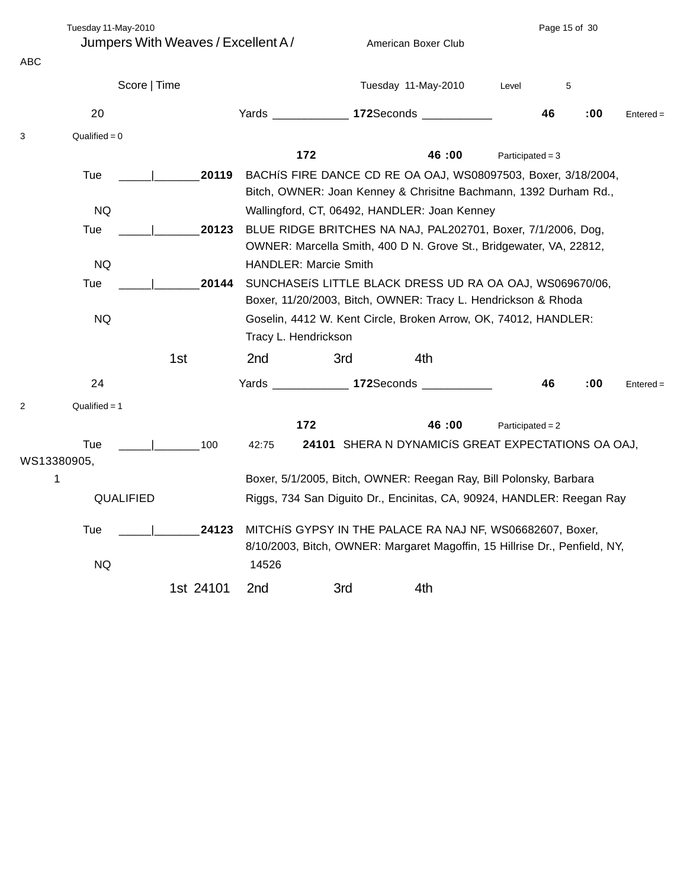Tuesday 11-May-2010 **Page 15 of 30** Jumpers With Weaves / Excellent A / American Boxer Club ABC Score | Time Tuesday 11-May-2010 Level 5 20 Yards \_\_\_\_\_\_\_\_\_\_\_\_ **172**Seconds \_\_\_\_\_\_\_\_\_\_\_ **46 :00** Entered =  $3$  Qualified = 0 **172 46 :00** Participated = 3 Tue \_\_\_\_\_|\_\_\_\_\_\_\_**20119** BACHíS FIRE DANCE CD RE OA OAJ, WS08097503, Boxer, 3/18/2004, Bitch, OWNER: Joan Kenney & Chrisitne Bachmann, 1392 Durham Rd., NQ Wallingford, CT, 06492, HANDLER: Joan Kenney Tue \_\_\_\_\_|\_\_\_\_\_\_\_**20123** BLUE RIDGE BRITCHES NA NAJ, PAL202701, Boxer, 7/1/2006, Dog, OWNER: Marcella Smith, 400 D N. Grove St., Bridgewater, VA, 22812, NQ HANDLER: Marcie Smith Tue \_\_\_\_\_|\_\_\_\_\_\_\_**20144** SUNCHASEíS LITTLE BLACK DRESS UD RA OA OAJ, WS069670/06, Boxer, 11/20/2003, Bitch, OWNER: Tracy L. Hendrickson & Rhoda NQ Goselin, 4412 W. Kent Circle, Broken Arrow, OK, 74012, HANDLER: Tracy L. Hendrickson 1st 2nd 3rd 4th 24 Yards \_\_\_\_\_\_\_\_\_\_\_\_ **172**Seconds \_\_\_\_\_\_\_\_\_\_\_ **46 :00** Entered = 2 Qualified = 1 **172 46 :00** Participated = 2 Tue \_\_\_\_\_|\_\_\_\_\_\_\_100 42:75 **24101** SHERA N DYNAMICíS GREAT EXPECTATIONS OA OAJ, WS13380905, 1 Boxer, 5/1/2005, Bitch, OWNER: Reegan Ray, Bill Polonsky, Barbara QUALIFIED Riggs, 734 San Diguito Dr., Encinitas, CA, 90924, HANDLER: Reegan Ray Tue \_\_\_\_\_|\_\_\_\_\_\_\_**24123** MITCHíS GYPSY IN THE PALACE RA NAJ NF, WS06682607, Boxer, 8/10/2003, Bitch, OWNER: Margaret Magoffin, 15 Hillrise Dr., Penfield, NY, NQ 14526 1st 24101 2nd 3rd 4th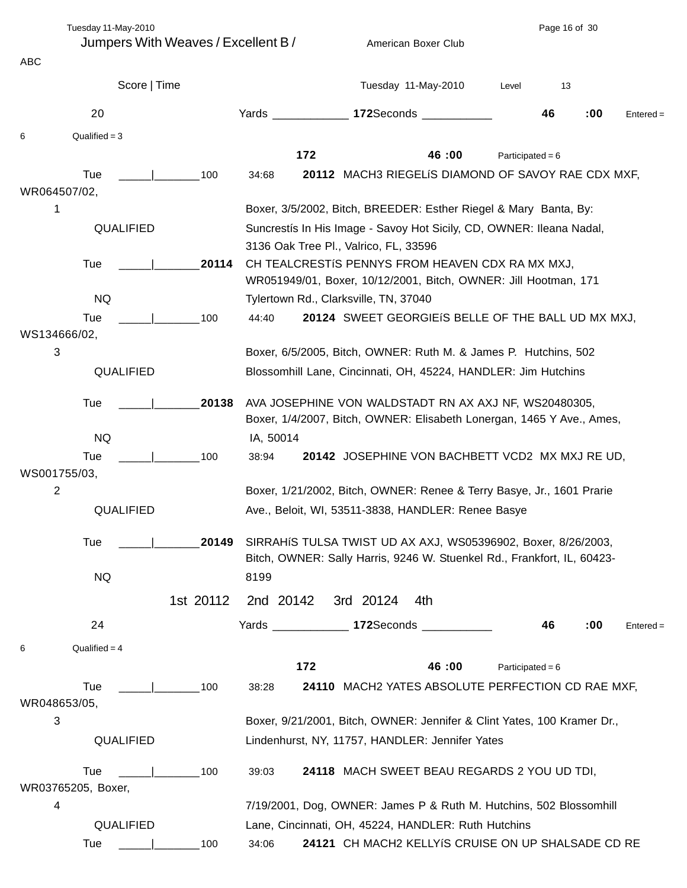| ABC          | Tuesday 11-May-2010<br>Jumpers With Weaves / Excellent B / |             |           |     | American Boxer Club                                                     |       |                    | Page 16 of 30 |     |             |
|--------------|------------------------------------------------------------|-------------|-----------|-----|-------------------------------------------------------------------------|-------|--------------------|---------------|-----|-------------|
|              | Score   Time                                               |             |           |     | Tuesday 11-May-2010                                                     |       | Level              | 13            |     |             |
|              | 20                                                         |             |           |     | Yards _______________ 172Seconds _____                                  |       |                    | 46            | :00 | $Entered =$ |
| 6            | Qualified $=$ 3                                            |             |           |     |                                                                         |       |                    |               |     |             |
|              |                                                            |             |           | 172 |                                                                         | 46:00 | Participated = $6$ |               |     |             |
|              | Tue                                                        | 100         | 34:68     |     | 20112 MACH3 RIEGELIS DIAMOND OF SAVOY RAE CDX MXF,                      |       |                    |               |     |             |
|              | WR064507/02,                                               |             |           |     |                                                                         |       |                    |               |     |             |
| 1            |                                                            |             |           |     | Boxer, 3/5/2002, Bitch, BREEDER: Esther Riegel & Mary Banta, By:        |       |                    |               |     |             |
|              | QUALIFIED                                                  |             |           |     | Suncrestís In His Image - Savoy Hot Sicily, CD, OWNER: Ileana Nadal,    |       |                    |               |     |             |
|              |                                                            |             |           |     | 3136 Oak Tree Pl., Valrico, FL, 33596                                   |       |                    |               |     |             |
|              | Tue                                                        | 20114       |           |     | CH TEALCRESTIS PENNYS FROM HEAVEN CDX RA MX MXJ,                        |       |                    |               |     |             |
|              |                                                            |             |           |     | WR051949/01, Boxer, 10/12/2001, Bitch, OWNER: Jill Hootman, 171         |       |                    |               |     |             |
|              | <b>NQ</b>                                                  |             |           |     | Tylertown Rd., Clarksville, TN, 37040                                   |       |                    |               |     |             |
| WS134666/02, | Tue                                                        | 100         | 44:40     |     | 20124 SWEET GEORGIEIS BELLE OF THE BALL UD MX MXJ,                      |       |                    |               |     |             |
| 3            |                                                            |             |           |     | Boxer, 6/5/2005, Bitch, OWNER: Ruth M. & James P. Hutchins, 502         |       |                    |               |     |             |
|              | QUALIFIED                                                  |             |           |     | Blossomhill Lane, Cincinnati, OH, 45224, HANDLER: Jim Hutchins          |       |                    |               |     |             |
|              |                                                            |             |           |     |                                                                         |       |                    |               |     |             |
|              | Tue                                                        | 20138       |           |     | AVA JOSEPHINE VON WALDSTADT RN AX AXJ NF, WS20480305,                   |       |                    |               |     |             |
|              |                                                            |             |           |     | Boxer, 1/4/2007, Bitch, OWNER: Elisabeth Lonergan, 1465 Y Ave., Ames,   |       |                    |               |     |             |
|              | <b>NQ</b>                                                  |             | IA, 50014 |     |                                                                         |       |                    |               |     |             |
|              | Tue                                                        | 100         | 38:94     |     | 20142 JOSEPHINE VON BACHBETT VCD2 MX MXJ RE UD,                         |       |                    |               |     |             |
| WS001755/03, |                                                            |             |           |     |                                                                         |       |                    |               |     |             |
| 2            |                                                            |             |           |     | Boxer, 1/21/2002, Bitch, OWNER: Renee & Terry Basye, Jr., 1601 Prarie   |       |                    |               |     |             |
|              | QUALIFIED                                                  |             |           |     | Ave., Beloit, WI, 53511-3838, HANDLER: Renee Basye                      |       |                    |               |     |             |
|              | Tue                                                        | 20149       |           |     | SIRRAHIS TULSA TWIST UD AX AXJ, WS05396902, Boxer, 8/26/2003,           |       |                    |               |     |             |
|              |                                                            |             |           |     | Bitch, OWNER: Sally Harris, 9246 W. Stuenkel Rd., Frankfort, IL, 60423- |       |                    |               |     |             |
|              | <b>NQ</b>                                                  |             | 8199      |     |                                                                         |       |                    |               |     |             |
|              |                                                            | 1st 20112   | 2nd 20142 |     | 3rd 20124<br>4th                                                        |       |                    |               |     |             |
|              | 24                                                         |             |           |     | Yards <b>172</b> Seconds <b>1888</b>                                    |       |                    | 46            | :00 | $Entered =$ |
| 6            | Qualified = $4$                                            |             |           |     |                                                                         |       |                    |               |     |             |
|              |                                                            |             |           | 172 |                                                                         | 46:00 | Participated = $6$ |               |     |             |
|              | Tue                                                        | $\vert$ 100 | 38:28     |     | 24110 MACH2 YATES ABSOLUTE PERFECTION CD RAE MXF,                       |       |                    |               |     |             |
|              | WR048653/05,                                               |             |           |     |                                                                         |       |                    |               |     |             |
| 3            |                                                            |             |           |     | Boxer, 9/21/2001, Bitch, OWNER: Jennifer & Clint Yates, 100 Kramer Dr., |       |                    |               |     |             |
|              | QUALIFIED                                                  |             |           |     | Lindenhurst, NY, 11757, HANDLER: Jennifer Yates                         |       |                    |               |     |             |
|              | Tue                                                        | 100         | 39:03     |     | 24118 MACH SWEET BEAU REGARDS 2 YOU UD TDI,                             |       |                    |               |     |             |
|              | WR03765205, Boxer,                                         |             |           |     |                                                                         |       |                    |               |     |             |
| 4            |                                                            |             |           |     | 7/19/2001, Dog, OWNER: James P & Ruth M. Hutchins, 502 Blossomhill      |       |                    |               |     |             |
|              | QUALIFIED                                                  |             |           |     | Lane, Cincinnati, OH, 45224, HANDLER: Ruth Hutchins                     |       |                    |               |     |             |
|              | Tue                                                        | $100$       | 34:06     |     | 24121 CH MACH2 KELLYIS CRUISE ON UP SHALSADE CD RE                      |       |                    |               |     |             |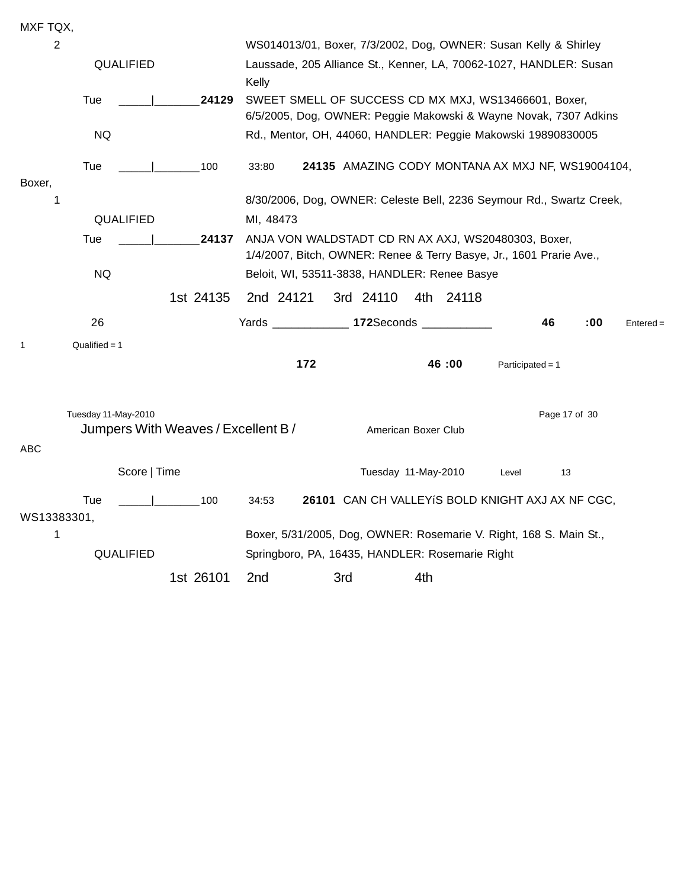| MXF TQX,       |                     |                                     |                 |           |                                                                                                                            |                    |               |     |             |
|----------------|---------------------|-------------------------------------|-----------------|-----------|----------------------------------------------------------------------------------------------------------------------------|--------------------|---------------|-----|-------------|
| $\overline{2}$ |                     |                                     |                 |           | WS014013/01, Boxer, 7/3/2002, Dog, OWNER: Susan Kelly & Shirley                                                            |                    |               |     |             |
|                | QUALIFIED           |                                     | Kelly           |           | Laussade, 205 Alliance St., Kenner, LA, 70062-1027, HANDLER: Susan                                                         |                    |               |     |             |
|                | Tue                 | 24129                               |                 |           | SWEET SMELL OF SUCCESS CD MX MXJ, WS13466601, Boxer,<br>6/5/2005, Dog, OWNER: Peggie Makowski & Wayne Novak, 7307 Adkins   |                    |               |     |             |
|                | <b>NQ</b>           |                                     |                 |           | Rd., Mentor, OH, 44060, HANDLER: Peggie Makowski 19890830005                                                               |                    |               |     |             |
|                | Tue                 | 100                                 | 33:80           |           | 24135 AMAZING CODY MONTANA AX MXJ NF, WS19004104,                                                                          |                    |               |     |             |
| Boxer,<br>1    |                     |                                     |                 |           | 8/30/2006, Dog, OWNER: Celeste Bell, 2236 Seymour Rd., Swartz Creek,                                                       |                    |               |     |             |
|                | QUALIFIED           |                                     | MI, 48473       |           |                                                                                                                            |                    |               |     |             |
|                | Tue                 | 24137                               |                 |           | ANJA VON WALDSTADT CD RN AX AXJ, WS20480303, Boxer,<br>1/4/2007, Bitch, OWNER: Renee & Terry Basye, Jr., 1601 Prarie Ave., |                    |               |     |             |
|                | <b>NQ</b>           |                                     |                 |           | Beloit, WI, 53511-3838, HANDLER: Renee Basye                                                                               |                    |               |     |             |
|                |                     | 1st 24135                           | 2nd 24121       | 3rd 24110 | 4th<br>24118                                                                                                               |                    |               |     |             |
|                | 26                  |                                     |                 |           | Yards ______________ 172Seconds _____                                                                                      |                    | 46            | :00 | $Entered =$ |
| 1              | Qualified $= 1$     |                                     |                 |           |                                                                                                                            |                    |               |     |             |
|                |                     |                                     |                 | 172       | 46:00                                                                                                                      | Participated = $1$ |               |     |             |
|                | Tuesday 11-May-2010 | Jumpers With Weaves / Excellent B / |                 |           | American Boxer Club                                                                                                        |                    | Page 17 of 30 |     |             |
| ABC            |                     |                                     |                 |           |                                                                                                                            |                    |               |     |             |
|                | Score   Time        |                                     |                 |           | Tuesday 11-May-2010                                                                                                        | Level              | 13            |     |             |
| WS13383301,    | Tue                 | 100                                 | 34:53           |           | 26101 CAN CH VALLEYIS BOLD KNIGHT AXJ AX NF CGC,                                                                           |                    |               |     |             |
| 1              |                     |                                     |                 |           | Boxer, 5/31/2005, Dog, OWNER: Rosemarie V. Right, 168 S. Main St.,                                                         |                    |               |     |             |
|                | QUALIFIED           |                                     |                 |           | Springboro, PA, 16435, HANDLER: Rosemarie Right                                                                            |                    |               |     |             |
|                |                     | 1st 26101                           | 2 <sub>nd</sub> | 3rd       | 4th                                                                                                                        |                    |               |     |             |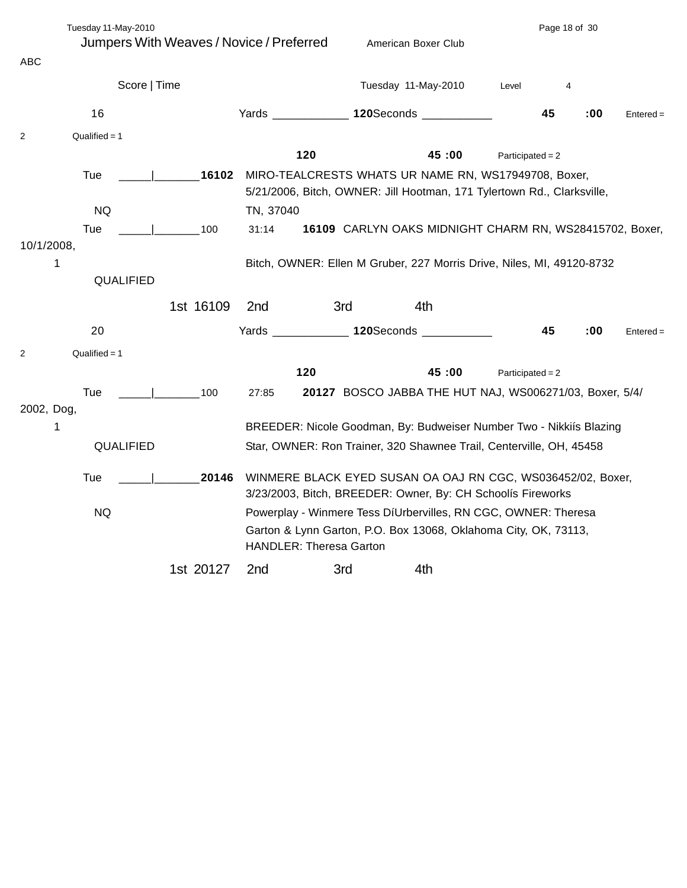|                | Tuesday 11-May-2010 | Jumpers With Weaves / Novice / Preferred |                                       |     | American Boxer Club                                                                                                               |                    | Page 18 of 30 |                    |
|----------------|---------------------|------------------------------------------|---------------------------------------|-----|-----------------------------------------------------------------------------------------------------------------------------------|--------------------|---------------|--------------------|
| ABC            |                     |                                          |                                       |     |                                                                                                                                   |                    |               |                    |
|                |                     | Score   Time                             |                                       |     | Tuesday 11-May-2010                                                                                                               | Level              | 4             |                    |
|                | 16                  |                                          | Yards <b>contract the State State</b> |     | 120Seconds ____________                                                                                                           | 45                 |               | :00<br>$Entered =$ |
| $\overline{2}$ | $Qualified = 1$     |                                          |                                       |     |                                                                                                                                   |                    |               |                    |
|                |                     |                                          | 120                                   |     | 45:00                                                                                                                             | Participated = $2$ |               |                    |
|                | Tue                 | 16102                                    |                                       |     | MIRO-TEALCRESTS WHATS UR NAME RN, WS17949708, Boxer,<br>5/21/2006, Bitch, OWNER: Jill Hootman, 171 Tylertown Rd., Clarksville,    |                    |               |                    |
|                | <b>NQ</b>           |                                          | TN, 37040                             |     |                                                                                                                                   |                    |               |                    |
| 10/1/2008,     | Tue                 | 100                                      | 31:14                                 |     | 16109 CARLYN OAKS MIDNIGHT CHARM RN, WS28415702, Boxer,                                                                           |                    |               |                    |
| 1              |                     |                                          |                                       |     | Bitch, OWNER: Ellen M Gruber, 227 Morris Drive, Niles, MI, 49120-8732                                                             |                    |               |                    |
|                | QUALIFIED           |                                          |                                       |     |                                                                                                                                   |                    |               |                    |
|                |                     | 1st 16109                                | 2 <sub>nd</sub>                       | 3rd | 4th                                                                                                                               |                    |               |                    |
|                | 20                  |                                          |                                       |     | Yards _______________ 120Seconds ____________                                                                                     | 45                 |               | :00<br>$Entered =$ |
| $\overline{2}$ | Qualified $= 1$     |                                          |                                       |     |                                                                                                                                   |                    |               |                    |
|                |                     |                                          | 120                                   |     | 45:00                                                                                                                             | Participated = $2$ |               |                    |
|                | Tue                 | 100                                      | 27:85                                 |     | 20127 BOSCO JABBA THE HUT NAJ, WS006271/03, Boxer, 5/4/                                                                           |                    |               |                    |
| 2002, Dog,     |                     |                                          |                                       |     |                                                                                                                                   |                    |               |                    |
| 1              |                     |                                          |                                       |     | BREEDER: Nicole Goodman, By: Budweiser Number Two - Nikkiís Blazing                                                               |                    |               |                    |
|                | QUALIFIED           |                                          |                                       |     | Star, OWNER: Ron Trainer, 320 Shawnee Trail, Centerville, OH, 45458                                                               |                    |               |                    |
|                | Tue                 | 20146                                    |                                       |     | WINMERE BLACK EYED SUSAN OA OAJ RN CGC, WS036452/02, Boxer,<br>3/23/2003, Bitch, BREEDER: Owner, By: CH Schoolís Fireworks        |                    |               |                    |
|                | <b>NQ</b>           |                                          | <b>HANDLER: Theresa Garton</b>        |     | Powerplay - Winmere Tess DíUrbervilles, RN CGC, OWNER: Theresa<br>Garton & Lynn Garton, P.O. Box 13068, Oklahoma City, OK, 73113, |                    |               |                    |
|                |                     | 1st 20127                                | 2nd                                   | 3rd | 4th                                                                                                                               |                    |               |                    |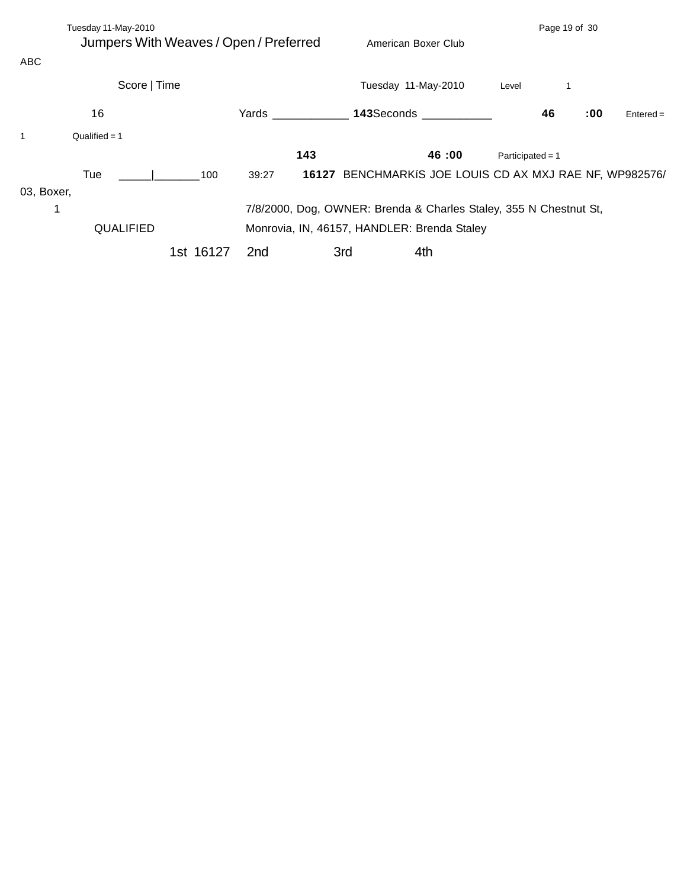|             | Tuesday 11-May-2010<br>Jumpers With Weaves / Open / Preferred |           |                                  |     |                                             | American Boxer Club                                                                                                                                                                                                            |                    | Page 19 of 30 |     |             |
|-------------|---------------------------------------------------------------|-----------|----------------------------------|-----|---------------------------------------------|--------------------------------------------------------------------------------------------------------------------------------------------------------------------------------------------------------------------------------|--------------------|---------------|-----|-------------|
| ABC         |                                                               |           |                                  |     |                                             |                                                                                                                                                                                                                                |                    |               |     |             |
|             | Score   Time                                                  |           |                                  |     |                                             | Tuesday 11-May-2010                                                                                                                                                                                                            | Level              |               |     |             |
|             | 16                                                            |           | <b>Yards</b> and the <b>Mark</b> |     |                                             | 143Seconds and the second state of the second state of the second state of the second state of the second state of the second state state and state state state state state state state state state state state state state st |                    | 46            | :00 | $Entered =$ |
| $\mathbf 1$ | Qualified = $1$                                               |           |                                  |     |                                             |                                                                                                                                                                                                                                |                    |               |     |             |
|             |                                                               |           |                                  | 143 |                                             | 46:00                                                                                                                                                                                                                          | Participated = $1$ |               |     |             |
|             | Tue                                                           | 100       | 39:27                            |     |                                             | 16127 BENCHMARKIS JOE LOUIS CD AX MXJ RAE NF, WP982576/                                                                                                                                                                        |                    |               |     |             |
| 03, Boxer,  |                                                               |           |                                  |     |                                             |                                                                                                                                                                                                                                |                    |               |     |             |
| 1           |                                                               |           |                                  |     |                                             | 7/8/2000, Dog, OWNER: Brenda & Charles Staley, 355 N Chestnut St,                                                                                                                                                              |                    |               |     |             |
|             | QUALIFIED                                                     |           |                                  |     | Monrovia, IN, 46157, HANDLER: Brenda Staley |                                                                                                                                                                                                                                |                    |               |     |             |
|             |                                                               | 1st 16127 | 2 <sub>nd</sub>                  |     | 3rd                                         | 4th                                                                                                                                                                                                                            |                    |               |     |             |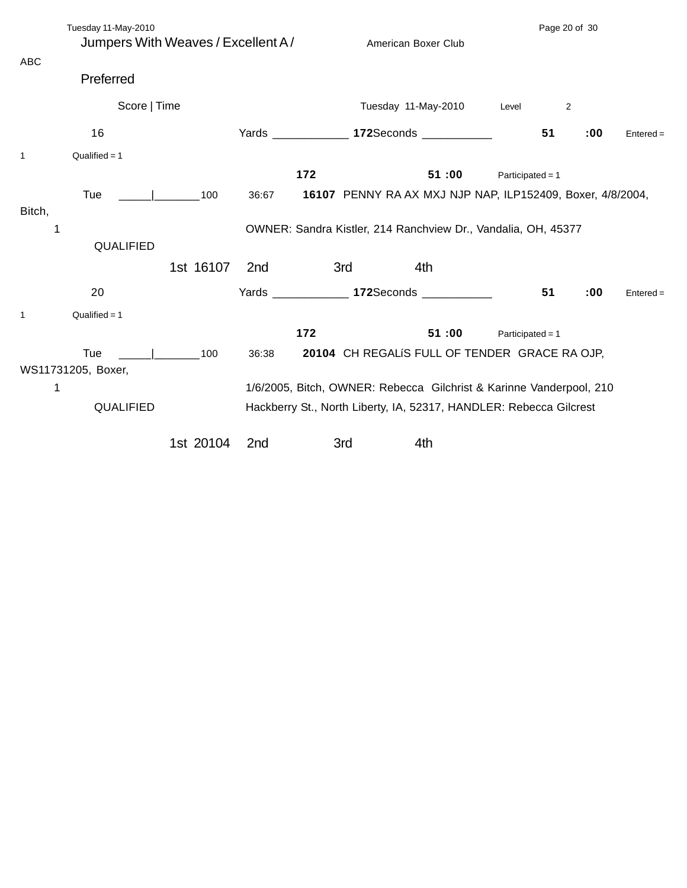| ABC          | Tuesday 11-May-2010<br>Jumpers With Weaves / Excellent A/ |           |       |                                                                    | American Boxer Club                                                 |                    | Page 20 of 30 |             |
|--------------|-----------------------------------------------------------|-----------|-------|--------------------------------------------------------------------|---------------------------------------------------------------------|--------------------|---------------|-------------|
|              | Preferred                                                 |           |       |                                                                    |                                                                     |                    |               |             |
|              | Score   Time                                              |           |       |                                                                    | Tuesday 11-May-2010                                                 | Level              | 2             |             |
|              | 16                                                        |           |       |                                                                    | Yards _______________ 172Seconds ____________                       | 51                 | :00           | $Entered =$ |
| $\mathbf{1}$ | $Qualified = 1$                                           |           |       |                                                                    |                                                                     |                    |               |             |
|              |                                                           |           |       | 172                                                                | 51:00                                                               | Participated = $1$ |               |             |
|              | Tue                                                       | 100       | 36:67 |                                                                    | 16107 PENNY RA AX MXJ NJP NAP, ILP152409, Boxer, 4/8/2004,          |                    |               |             |
| Bitch,       |                                                           |           |       |                                                                    |                                                                     |                    |               |             |
| 1            | QUALIFIED                                                 |           |       |                                                                    | OWNER: Sandra Kistler, 214 Ranchview Dr., Vandalia, OH, 45377       |                    |               |             |
|              |                                                           |           |       |                                                                    |                                                                     |                    |               |             |
|              |                                                           | 1st 16107 | 2nd   | 3rd                                                                | 4th                                                                 |                    |               |             |
|              | 20                                                        |           |       |                                                                    | Yards _________________ 172Seconds _____________                    | 51                 | :00           | $Entered =$ |
| 1            | $Qualified = 1$                                           |           |       |                                                                    |                                                                     |                    |               |             |
|              |                                                           |           |       | 172                                                                | 51:00                                                               | Participated = $1$ |               |             |
|              | Tue<br>WS11731205, Boxer,                                 | 100       | 36:38 |                                                                    | 20104 CH REGALIS FULL OF TENDER GRACE RA OJP,                       |                    |               |             |
| 1            |                                                           |           |       |                                                                    | 1/6/2005, Bitch, OWNER: Rebecca Gilchrist & Karinne Vanderpool, 210 |                    |               |             |
|              | QUALIFIED                                                 |           |       | Hackberry St., North Liberty, IA, 52317, HANDLER: Rebecca Gilcrest |                                                                     |                    |               |             |
|              |                                                           | 1st 20104 | 2nd   | 3rd                                                                | 4th                                                                 |                    |               |             |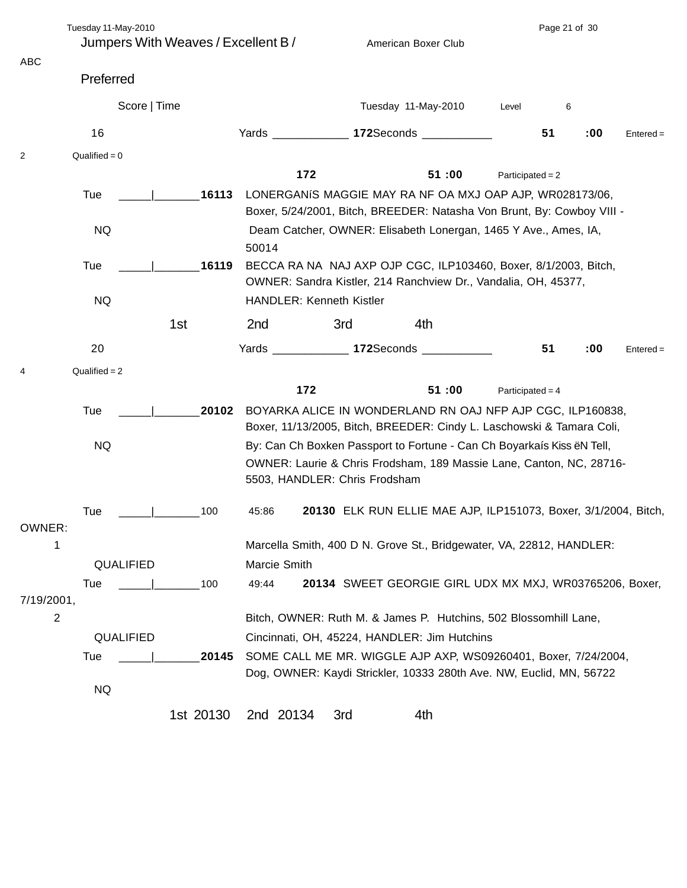Tuesday 11-May-2010 **Page 21 of 30** Jumpers With Weaves / Excellent B / American Boxer Club ABC Preferred Score | Time **Tuesday 11-May-2010** Level 6 16 Yards \_\_\_\_\_\_\_\_\_\_\_\_ **172**Seconds \_\_\_\_\_\_\_\_\_\_\_ **51 :00** Entered =  $2$  Qualified = 0 **172 51 :00** Participated = 2 Tue \_\_\_\_\_|\_\_\_\_\_\_\_**16113** LONERGANíS MAGGIE MAY RA NF OA MXJ OAP AJP, WR028173/06, Boxer, 5/24/2001, Bitch, BREEDER: Natasha Von Brunt, By: Cowboy VIII - NQ Deam Catcher, OWNER: Elisabeth Lonergan, 1465 Y Ave., Ames, IA, 50014 Tue \_\_\_\_\_|\_\_\_\_\_\_\_**16119** BECCA RA NA NAJ AXP OJP CGC, ILP103460, Boxer, 8/1/2003, Bitch, OWNER: Sandra Kistler, 214 Ranchview Dr., Vandalia, OH, 45377, NQ HANDLER: Kenneth Kistler 1st 2nd 3rd 4th 20 Yards \_\_\_\_\_\_\_\_\_\_\_\_ **172**Seconds \_\_\_\_\_\_\_\_\_\_\_ **51 :00** Entered =  $4$  Qualified = 2 **172 51 :00** Participated = 4 Tue  $\vert$  **20102** BOYARKA ALICE IN WONDERLAND RN OAJ NFP AJP CGC, ILP160838, Boxer, 11/13/2005, Bitch, BREEDER: Cindy L. Laschowski & Tamara Coli, NQ By: Can Ch Boxken Passport to Fortune - Can Ch Boyarkaís Kiss ëN Tell, OWNER: Laurie & Chris Frodsham, 189 Massie Lane, Canton, NC, 28716- 5503, HANDLER: Chris Frodsham Tue \_\_\_\_\_|\_\_\_\_\_\_\_100 45:86 **20130** ELK RUN ELLIE MAE AJP, ILP151073, Boxer, 3/1/2004, Bitch, OWNER: 1 Marcella Smith, 400 D N. Grove St., Bridgewater, VA, 22812, HANDLER: QUALIFIED Marcie Smith Tue \_\_\_\_\_|\_\_\_\_\_\_\_100 49:44 **20134** SWEET GEORGIE GIRL UDX MX MXJ, WR03765206, Boxer, 7/19/2001, 2 Bitch, OWNER: Ruth M. & James P. Hutchins, 502 Blossomhill Lane, QUALIFIED Cincinnati, OH, 45224, HANDLER: Jim Hutchins Tue \_\_\_\_\_|\_\_\_\_\_\_\_**20145** SOME CALL ME MR. WIGGLE AJP AXP, WS09260401, Boxer, 7/24/2004, Dog, OWNER: Kaydi Strickler, 10333 280th Ave. NW, Euclid, MN, 56722 NQ 1st 20130 2nd 20134 3rd 4th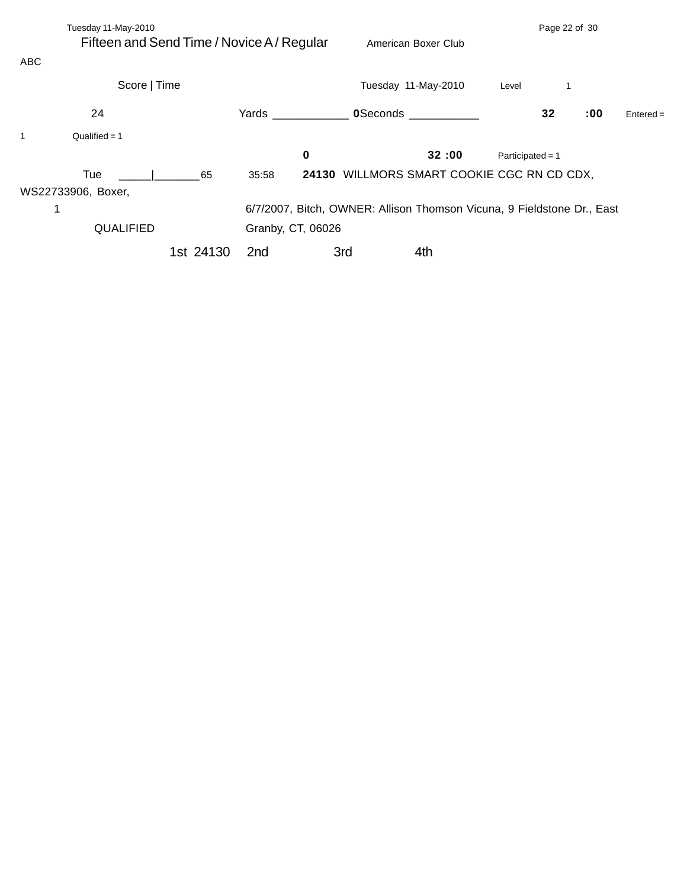|            | Tuesday 11-May-2010<br>Fifteen and Send Time / Novice A / Regular |           |                   |     | American Boxer Club                                                    |                    | Page 22 of 30 |     |             |
|------------|-------------------------------------------------------------------|-----------|-------------------|-----|------------------------------------------------------------------------|--------------------|---------------|-----|-------------|
| <b>ABC</b> |                                                                   |           |                   |     |                                                                        |                    |               |     |             |
|            | Score   Time                                                      |           |                   |     | Tuesday 11-May-2010                                                    | Level              |               |     |             |
|            | 24                                                                |           | Yards             |     | <b>O</b> Seconds <b>CONTEX</b>                                         |                    | 32            | :00 | $Entered =$ |
| 1          | Qualified = $1$                                                   |           |                   |     |                                                                        |                    |               |     |             |
|            |                                                                   |           | 0                 |     | 32:00                                                                  | Participated = $1$ |               |     |             |
|            | Tue                                                               | 65        | 35:58             |     | 24130 WILLMORS SMART COOKIE CGC RN CD CDX,                             |                    |               |     |             |
|            | WS22733906, Boxer,                                                |           |                   |     |                                                                        |                    |               |     |             |
| 1          |                                                                   |           |                   |     | 6/7/2007, Bitch, OWNER: Allison Thomson Vicuna, 9 Fieldstone Dr., East |                    |               |     |             |
|            | <b>QUALIFIED</b>                                                  |           | Granby, CT, 06026 |     |                                                                        |                    |               |     |             |
|            |                                                                   | 1st 24130 | 2nd               | 3rd | 4th                                                                    |                    |               |     |             |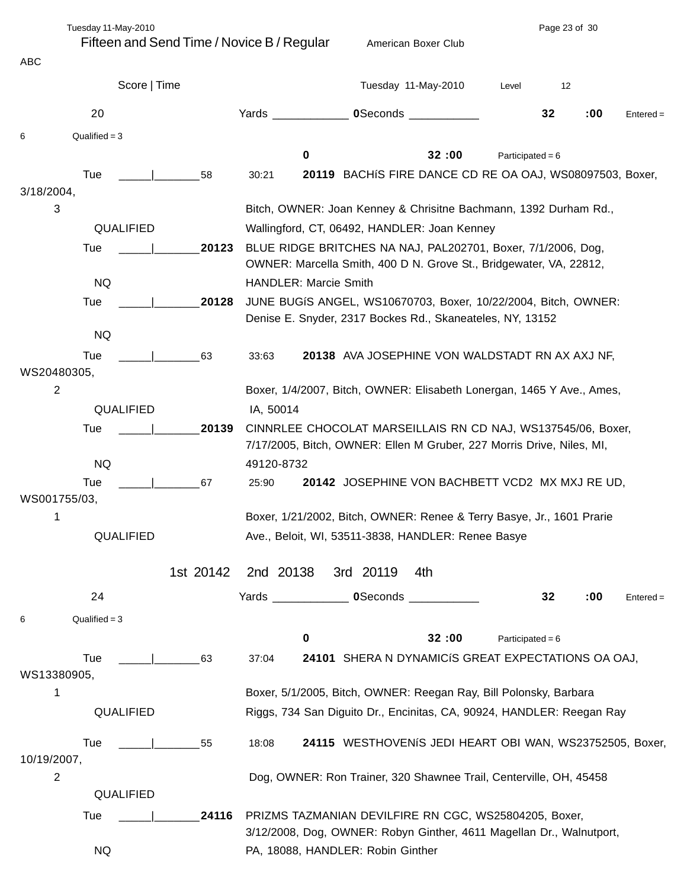|                 | Tuesday 11-May-2010 | Fifteen and Send Time / Novice B / Regular |                              |             | American Boxer Club                                                   |       |                    | Page 23 of 30   |     |             |
|-----------------|---------------------|--------------------------------------------|------------------------------|-------------|-----------------------------------------------------------------------|-------|--------------------|-----------------|-----|-------------|
| ABC             |                     |                                            |                              |             |                                                                       |       |                    |                 |     |             |
|                 | Score   Time        |                                            |                              |             | Tuesday 11-May-2010                                                   |       | Level              | 12 <sup>°</sup> |     |             |
|                 | 20                  |                                            | Yards __________             |             | 0Seconds ___________                                                  |       |                    | 32              | :00 | $Entered =$ |
| 6               | Qualified = $3$     |                                            |                              |             |                                                                       |       |                    |                 |     |             |
|                 |                     |                                            |                              | $\mathbf 0$ |                                                                       | 32:00 | Participated = $6$ |                 |     |             |
|                 | Tue                 | 58                                         | 30:21                        |             | 20119 BACHIS FIRE DANCE CD RE OA OAJ, WS08097503, Boxer,              |       |                    |                 |     |             |
| 3/18/2004,<br>3 |                     |                                            |                              |             | Bitch, OWNER: Joan Kenney & Chrisitne Bachmann, 1392 Durham Rd.,      |       |                    |                 |     |             |
|                 | QUALIFIED           |                                            |                              |             | Wallingford, CT, 06492, HANDLER: Joan Kenney                          |       |                    |                 |     |             |
|                 | Tue                 | 20123                                      |                              |             | BLUE RIDGE BRITCHES NA NAJ, PAL202701, Boxer, 7/1/2006, Dog,          |       |                    |                 |     |             |
|                 |                     |                                            |                              |             | OWNER: Marcella Smith, 400 D N. Grove St., Bridgewater, VA, 22812,    |       |                    |                 |     |             |
|                 | <b>NQ</b>           |                                            | <b>HANDLER: Marcie Smith</b> |             |                                                                       |       |                    |                 |     |             |
|                 | Tue                 | 20128                                      |                              |             | JUNE BUGIS ANGEL, WS10670703, Boxer, 10/22/2004, Bitch, OWNER:        |       |                    |                 |     |             |
|                 |                     |                                            |                              |             | Denise E. Snyder, 2317 Bockes Rd., Skaneateles, NY, 13152             |       |                    |                 |     |             |
|                 | <b>NQ</b>           |                                            |                              |             |                                                                       |       |                    |                 |     |             |
| WS20480305,     | Tue                 | 63                                         | 33:63                        |             | 20138 AVA JOSEPHINE VON WALDSTADT RN AX AXJ NF,                       |       |                    |                 |     |             |
| 2               |                     |                                            |                              |             | Boxer, 1/4/2007, Bitch, OWNER: Elisabeth Lonergan, 1465 Y Ave., Ames, |       |                    |                 |     |             |
|                 | QUALIFIED           |                                            | IA, 50014                    |             |                                                                       |       |                    |                 |     |             |
|                 | Tue                 | 20139                                      |                              |             | CINNRLEE CHOCOLAT MARSEILLAIS RN CD NAJ, WS137545/06, Boxer,          |       |                    |                 |     |             |
|                 |                     |                                            |                              |             | 7/17/2005, Bitch, OWNER: Ellen M Gruber, 227 Morris Drive, Niles, MI, |       |                    |                 |     |             |
|                 | <b>NQ</b>           |                                            | 49120-8732                   |             |                                                                       |       |                    |                 |     |             |
|                 | Tue                 | 67                                         | 25:90                        |             | 20142 JOSEPHINE VON BACHBETT VCD2 MX MXJ RE UD,                       |       |                    |                 |     |             |
| WS001755/03,    |                     |                                            |                              |             |                                                                       |       |                    |                 |     |             |
| $\mathbf{1}$    |                     |                                            |                              |             | Boxer, 1/21/2002, Bitch, OWNER: Renee & Terry Basye, Jr., 1601 Prarie |       |                    |                 |     |             |
|                 | QUALIFIED           |                                            |                              |             | Ave., Beloit, WI, 53511-3838, HANDLER: Renee Basye                    |       |                    |                 |     |             |
|                 |                     | 1st 20142                                  | 2nd 20138                    |             | 3rd 20119                                                             | 4th   |                    |                 |     |             |
|                 | 24                  |                                            |                              |             | Yards ________________ 0Seconds ____________                          |       |                    | 32              | :00 | $Entered =$ |
| 6               | $Qualified = 3$     |                                            |                              |             |                                                                       |       |                    |                 |     |             |
|                 |                     |                                            |                              | 0           |                                                                       | 32:00 | Participated = $6$ |                 |     |             |
|                 | Tue                 | 63<br>and the company of the company       | 37:04                        |             | 24101 SHERA N DYNAMICIS GREAT EXPECTATIONS OA OAJ,                    |       |                    |                 |     |             |
| WS13380905,     |                     |                                            |                              |             |                                                                       |       |                    |                 |     |             |
| 1               |                     |                                            |                              |             | Boxer, 5/1/2005, Bitch, OWNER: Reegan Ray, Bill Polonsky, Barbara     |       |                    |                 |     |             |
|                 | QUALIFIED           |                                            |                              |             | Riggs, 734 San Diguito Dr., Encinitas, CA, 90924, HANDLER: Reegan Ray |       |                    |                 |     |             |
| 10/19/2007,     | Tue                 | and the company of the company<br>55       | 18:08                        |             | 24115 WESTHOVENIS JEDI HEART OBI WAN, WS23752505, Boxer,              |       |                    |                 |     |             |
| 2               |                     |                                            |                              |             | Dog, OWNER: Ron Trainer, 320 Shawnee Trail, Centerville, OH, 45458    |       |                    |                 |     |             |
|                 | QUALIFIED           |                                            |                              |             |                                                                       |       |                    |                 |     |             |
|                 | Tue                 | 24116                                      |                              |             | PRIZMS TAZMANIAN DEVILFIRE RN CGC, WS25804205, Boxer,                 |       |                    |                 |     |             |
|                 |                     |                                            |                              |             | 3/12/2008, Dog, OWNER: Robyn Ginther, 4611 Magellan Dr., Walnutport,  |       |                    |                 |     |             |
|                 | NQ.                 |                                            |                              |             | PA, 18088, HANDLER: Robin Ginther                                     |       |                    |                 |     |             |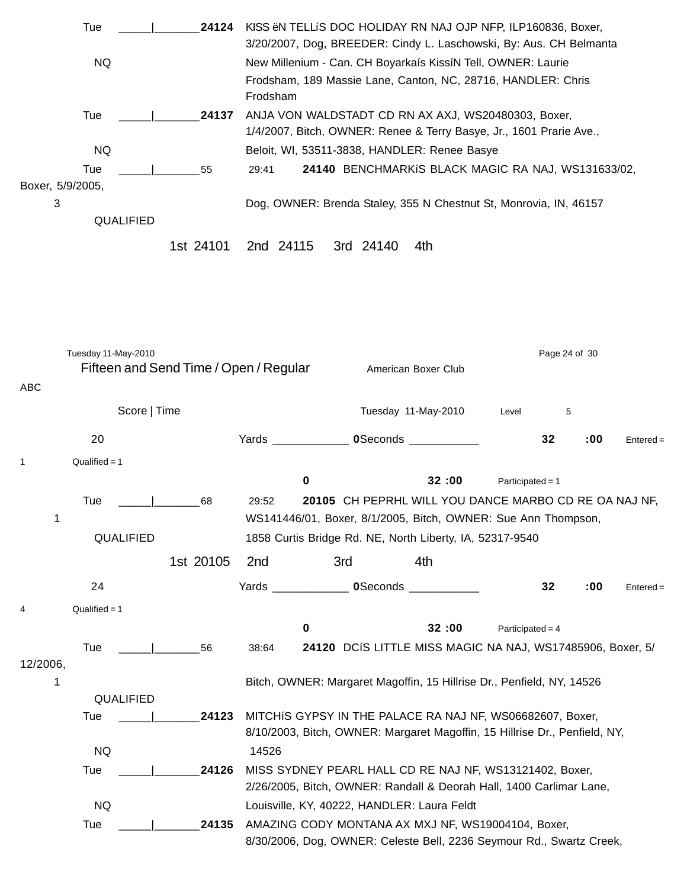| Tue              | 24124     | KISS EN TELLIS DOC HOLIDAY RN NAJ OJP NFP, ILP160836, Boxer,        |
|------------------|-----------|---------------------------------------------------------------------|
|                  |           | 3/20/2007, Dog, BREEDER: Cindy L. Laschowski, By: Aus. CH Belmanta  |
| NQ.              |           | New Millenium - Can. CH Boyarkaís KissíN Tell, OWNER: Laurie        |
|                  |           | Frodsham, 189 Massie Lane, Canton, NC, 28716, HANDLER: Chris        |
|                  |           | Frodsham                                                            |
| Tue              | 24137     | ANJA VON WALDSTADT CD RN AX AXJ, WS20480303, Boxer,                 |
|                  |           | 1/4/2007, Bitch, OWNER: Renee & Terry Basye, Jr., 1601 Prarie Ave., |
| NQ.              |           | Beloit, WI, 53511-3838, HANDLER: Renee Basye                        |
| Tue              | 55        | 24140 BENCHMARKIS BLACK MAGIC RA NAJ, WS131633/02,<br>29:41         |
| Boxer, 5/9/2005, |           |                                                                     |
| 3                |           | Dog, OWNER: Brenda Staley, 355 N Chestnut St, Monrovia, IN, 46157   |
| <b>QUALIFIED</b> |           |                                                                     |
|                  | 1st 24101 | 2nd 24115<br>3rd 24140<br>4th                                       |

|              | Tuesday 11-May-2010 |                                        |                       |   |     |                                                                            |                    | Page 24 of 30 |             |
|--------------|---------------------|----------------------------------------|-----------------------|---|-----|----------------------------------------------------------------------------|--------------------|---------------|-------------|
|              |                     | Fifteen and Send Time / Open / Regular |                       |   |     | American Boxer Club                                                        |                    |               |             |
| <b>ABC</b>   |                     |                                        |                       |   |     |                                                                            |                    |               |             |
|              |                     | Score   Time                           |                       |   |     | Tuesday 11-May-2010                                                        | Level              | 5             |             |
|              | 20                  |                                        | Yards _______________ |   |     | 0Seconds ____________                                                      | 32                 | :00           | $Entered =$ |
| $\mathbf{1}$ | $Qualified = 1$     |                                        |                       |   |     |                                                                            |                    |               |             |
|              |                     |                                        |                       | 0 |     | 32:00                                                                      | Participated = $1$ |               |             |
|              | Tue                 | 68                                     | 29:52                 |   |     | 20105 CH PEPRHL WILL YOU DANCE MARBO CD RE OA NAJ NF,                      |                    |               |             |
| 1            |                     |                                        |                       |   |     | WS141446/01, Boxer, 8/1/2005, Bitch, OWNER: Sue Ann Thompson,              |                    |               |             |
|              | QUALIFIED           |                                        |                       |   |     | 1858 Curtis Bridge Rd. NE, North Liberty, IA, 52317-9540                   |                    |               |             |
|              |                     | 1st 20105                              | 2nd                   |   | 3rd | 4th                                                                        |                    |               |             |
|              | 24                  |                                        |                       |   |     | Yards <b>OSeconds COSECONDITIES</b>                                        | 32                 | :00           | $Entered =$ |
| 4            | $Qualified = 1$     |                                        |                       |   |     |                                                                            |                    |               |             |
|              |                     |                                        |                       | 0 |     | 32:00                                                                      | Participated = $4$ |               |             |
|              | Tue                 | 56                                     | 38:64                 |   |     | 24120 DCIS LITTLE MISS MAGIC NA NAJ, WS17485906, Boxer, 5/                 |                    |               |             |
| 12/2006,     |                     |                                        |                       |   |     |                                                                            |                    |               |             |
| 1            |                     |                                        |                       |   |     | Bitch, OWNER: Margaret Magoffin, 15 Hillrise Dr., Penfield, NY, 14526      |                    |               |             |
|              | QUALIFIED           |                                        |                       |   |     |                                                                            |                    |               |             |
|              | Tue                 | 24123                                  |                       |   |     | MITCHIS GYPSY IN THE PALACE RA NAJ NF, WS06682607, Boxer,                  |                    |               |             |
|              |                     |                                        |                       |   |     | 8/10/2003, Bitch, OWNER: Margaret Magoffin, 15 Hillrise Dr., Penfield, NY, |                    |               |             |
|              | <b>NQ</b>           |                                        | 14526                 |   |     |                                                                            |                    |               |             |
|              | Tue                 | 24126                                  |                       |   |     | MISS SYDNEY PEARL HALL CD RE NAJ NF, WS13121402, Boxer,                    |                    |               |             |
|              |                     |                                        |                       |   |     | 2/26/2005, Bitch, OWNER: Randall & Deorah Hall, 1400 Carlimar Lane,        |                    |               |             |
|              | <b>NQ</b>           |                                        |                       |   |     | Louisville, KY, 40222, HANDLER: Laura Feldt                                |                    |               |             |
|              | Tue                 | 24135                                  |                       |   |     | AMAZING CODY MONTANA AX MXJ NF, WS19004104, Boxer,                         |                    |               |             |
|              |                     |                                        |                       |   |     | 8/30/2006, Dog, OWNER: Celeste Bell, 2236 Seymour Rd., Swartz Creek,       |                    |               |             |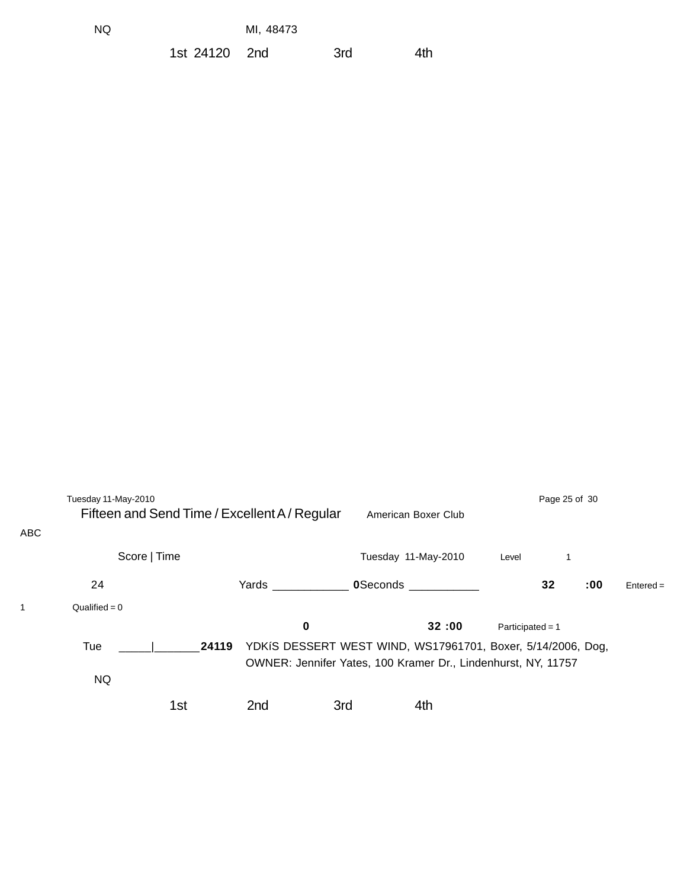| ΝQ | MI, 48473 |
|----|-----------|
|    |           |

## 1st 24120 2nd 3rd 4th

|     | Tuesday 11-May-2010 | Fifteen and Send Time / Excellent A / Regular |                                                                                                                              |                  | American Boxer Club |                    | Page 25 of 30 |     |             |
|-----|---------------------|-----------------------------------------------|------------------------------------------------------------------------------------------------------------------------------|------------------|---------------------|--------------------|---------------|-----|-------------|
| ABC |                     |                                               |                                                                                                                              |                  |                     |                    |               |     |             |
|     |                     | Score   Time                                  |                                                                                                                              |                  | Tuesday 11-May-2010 | Level              | 1             |     |             |
|     | 24                  |                                               | Yards                                                                                                                        | <b>0</b> Seconds |                     |                    | 32            | :00 | $Entered =$ |
| 1   | Qualified = $0$     |                                               |                                                                                                                              |                  |                     |                    |               |     |             |
|     |                     |                                               | $\mathbf 0$                                                                                                                  |                  | 32:00               | Participated = $1$ |               |     |             |
|     | Tue                 | 24119                                         | YDKIS DESSERT WEST WIND, WS17961701, Boxer, 5/14/2006, Dog,<br>OWNER: Jennifer Yates, 100 Kramer Dr., Lindenhurst, NY, 11757 |                  |                     |                    |               |     |             |
|     | <b>NQ</b>           |                                               |                                                                                                                              |                  |                     |                    |               |     |             |
|     |                     | 1st                                           | 2nd                                                                                                                          | 3rd              | 4th                 |                    |               |     |             |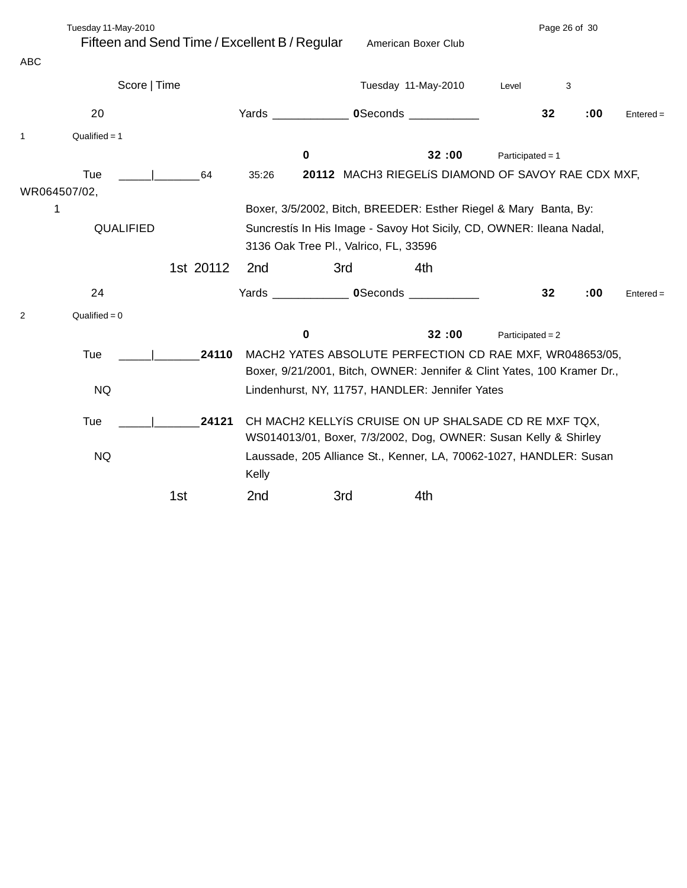|              | Tuesday 11-May-2010                                              | Fifteen and Send Time / Excellent B / Regular |                                                                    | Page 26 of 30                                                        |                                                                         |                    |     |             |  |  |  |  |
|--------------|------------------------------------------------------------------|-----------------------------------------------|--------------------------------------------------------------------|----------------------------------------------------------------------|-------------------------------------------------------------------------|--------------------|-----|-------------|--|--|--|--|
| ABC          |                                                                  |                                               |                                                                    |                                                                      |                                                                         |                    |     |             |  |  |  |  |
|              | Score   Time                                                     |                                               |                                                                    | Tuesday 11-May-2010                                                  |                                                                         |                    | 3   |             |  |  |  |  |
|              | 20                                                               |                                               |                                                                    | 0Seconds ___________<br><b>Yards Exercise State</b>                  |                                                                         |                    | :00 | $Entered =$ |  |  |  |  |
| $\mathbf{1}$ | $Qualified = 1$                                                  |                                               |                                                                    |                                                                      |                                                                         |                    |     |             |  |  |  |  |
|              |                                                                  |                                               |                                                                    | $\mathbf 0$                                                          | 32:00                                                                   | Participated = $1$ |     |             |  |  |  |  |
|              | Tue                                                              | 64                                            | 35:26                                                              |                                                                      | 20112 MACH3 RIEGELIS DIAMOND OF SAVOY RAE CDX MXF,                      |                    |     |             |  |  |  |  |
| WR064507/02, |                                                                  |                                               |                                                                    |                                                                      |                                                                         |                    |     |             |  |  |  |  |
| 1            | Boxer, 3/5/2002, Bitch, BREEDER: Esther Riegel & Mary Banta, By: |                                               |                                                                    |                                                                      |                                                                         |                    |     |             |  |  |  |  |
|              | QUALIFIED                                                        |                                               |                                                                    | Suncrestís In His Image - Savoy Hot Sicily, CD, OWNER: Ileana Nadal, |                                                                         |                    |     |             |  |  |  |  |
|              |                                                                  |                                               | 3136 Oak Tree Pl., Valrico, FL, 33596                              |                                                                      |                                                                         |                    |     |             |  |  |  |  |
|              | 1st 20112<br>2 <sub>nd</sub><br>3rd<br>4th                       |                                               |                                                                    |                                                                      |                                                                         |                    |     |             |  |  |  |  |
|              | 24                                                               |                                               | <b>Yards Example 2008</b>                                          |                                                                      | 0Seconds ___________                                                    | 32                 | :00 | $Entered =$ |  |  |  |  |
| 2            | Qualified = $0$                                                  |                                               |                                                                    |                                                                      |                                                                         |                    |     |             |  |  |  |  |
|              |                                                                  |                                               |                                                                    | 0                                                                    | 32:00                                                                   | Participated = $2$ |     |             |  |  |  |  |
|              | Tue                                                              | 24110                                         |                                                                    |                                                                      | MACH2 YATES ABSOLUTE PERFECTION CD RAE MXF, WR048653/05,                |                    |     |             |  |  |  |  |
|              |                                                                  |                                               |                                                                    |                                                                      | Boxer, 9/21/2001, Bitch, OWNER: Jennifer & Clint Yates, 100 Kramer Dr., |                    |     |             |  |  |  |  |
|              | <b>NQ</b>                                                        |                                               |                                                                    |                                                                      | Lindenhurst, NY, 11757, HANDLER: Jennifer Yates                         |                    |     |             |  |  |  |  |
|              | Tue                                                              | 24121                                         | CH MACH2 KELLYIS CRUISE ON UP SHALSADE CD RE MXF TQX,              |                                                                      |                                                                         |                    |     |             |  |  |  |  |
|              |                                                                  |                                               | WS014013/01, Boxer, 7/3/2002, Dog, OWNER: Susan Kelly & Shirley    |                                                                      |                                                                         |                    |     |             |  |  |  |  |
|              | <b>NQ</b>                                                        |                                               | Laussade, 205 Alliance St., Kenner, LA, 70062-1027, HANDLER: Susan |                                                                      |                                                                         |                    |     |             |  |  |  |  |
|              |                                                                  |                                               | Kelly                                                              |                                                                      |                                                                         |                    |     |             |  |  |  |  |
|              |                                                                  | 1st                                           | 2 <sub>nd</sub>                                                    | 3rd                                                                  | 4th                                                                     |                    |     |             |  |  |  |  |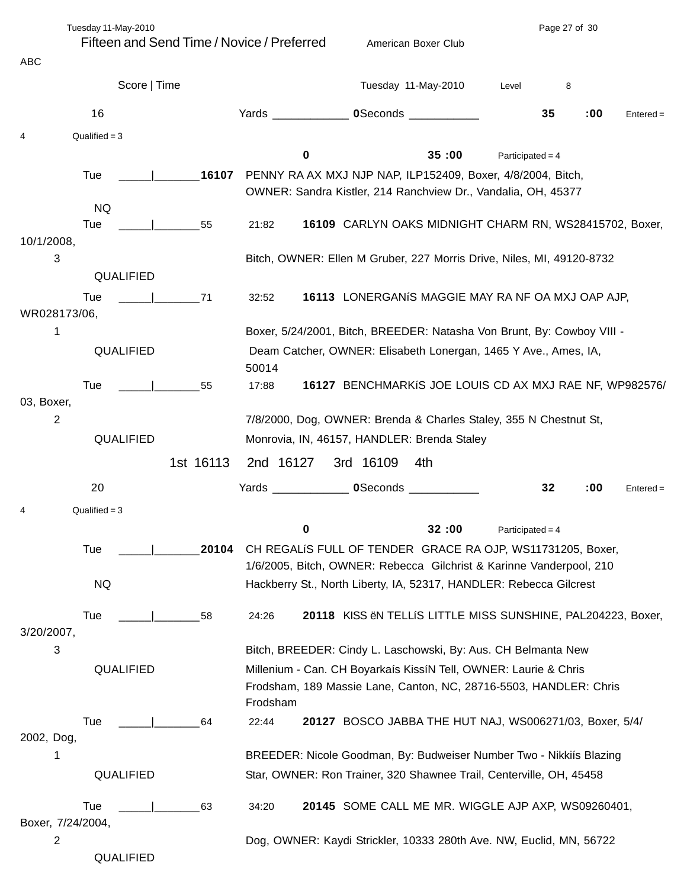| Fifteen and Send Time / Novice / Preferred<br>American Boxer Club<br><b>ABC</b><br>Score   Time<br>Tuesday 11-May-2010<br>Level<br>8<br>16<br>0Seconds ____________<br>35<br>Yards _______________<br>:00<br>$Entered =$<br>$Qualified = 3$<br>4<br>0<br>35:00<br>Participated = $4$<br>Tue<br>16107<br>PENNY RA AX MXJ NJP NAP, ILP152409, Boxer, 4/8/2004, Bitch,<br>OWNER: Sandra Kistler, 214 Ranchview Dr., Vandalia, OH, 45377<br><b>NQ</b><br>Tue<br>16109 CARLYN OAKS MIDNIGHT CHARM RN, WS28415702, Boxer,<br>55<br>21:82<br>10/1/2008,<br>3<br>Bitch, OWNER: Ellen M Gruber, 227 Morris Drive, Niles, MI, 49120-8732<br>QUALIFIED<br>Tue<br>16113 LONERGANIS MAGGIE MAY RA NF OA MXJ OAP AJP,<br>32:52<br>$\overline{71}$<br>WR028173/06,<br>1<br>Boxer, 5/24/2001, Bitch, BREEDER: Natasha Von Brunt, By: Cowboy VIII -<br>QUALIFIED<br>Deam Catcher, OWNER: Elisabeth Lonergan, 1465 Y Ave., Ames, IA,<br>50014<br>Tue<br>16127 BENCHMARKIS JOE LOUIS CD AX MXJ RAE NF, WP982576/<br>55<br>the contract of the contract of<br>17:88<br>03, Boxer,<br>$\overline{2}$<br>7/8/2000, Dog, OWNER: Brenda & Charles Staley, 355 N Chestnut St,<br>QUALIFIED<br>Monrovia, IN, 46157, HANDLER: Brenda Staley<br>1st 16113<br>2nd 16127<br>3rd 16109<br>4th<br>Yards <b>OSeconds COSECONDENS</b><br>20<br>32<br>:00<br>$Entered =$<br>$Qualified = 3$<br>4<br>0<br>32:00<br>Participated = $4$<br>20104<br>CH REGALIS FULL OF TENDER GRACE RA OJP, WS11731205, Boxer,<br>Tue<br>1/6/2005, Bitch, OWNER: Rebecca Gilchrist & Karinne Vanderpool, 210<br><b>NQ</b><br>Hackberry St., North Liberty, IA, 52317, HANDLER: Rebecca Gilcrest<br>20118 KISS ëN TELLIS LITTLE MISS SUNSHINE, PAL204223, Boxer,<br>Tue<br>24:26<br>58<br>3/20/2007,<br>$\sqrt{3}$<br>Bitch, BREEDER: Cindy L. Laschowski, By: Aus. CH Belmanta New<br>QUALIFIED<br>Millenium - Can. CH Boyarkaís KissíN Tell, OWNER: Laurie & Chris<br>Frodsham, 189 Massie Lane, Canton, NC, 28716-5503, HANDLER: Chris<br>Frodsham<br>Tue<br>20127 BOSCO JABBA THE HUT NAJ, WS006271/03, Boxer, 5/4/<br>22:44<br>64<br>2002, Dog,<br>BREEDER: Nicole Goodman, By: Budweiser Number Two - Nikkiís Blazing<br>1<br>QUALIFIED<br>Star, OWNER: Ron Trainer, 320 Shawnee Trail, Centerville, OH, 45458<br>Tue<br>20145 SOME CALL ME MR. WIGGLE AJP AXP, WS09260401,<br>34:20<br>63<br>Boxer, 7/24/2004,<br>Dog, OWNER: Kaydi Strickler, 10333 280th Ave. NW, Euclid, MN, 56722 |   | Tuesday 11-May-2010 |  |  |  |  |  | Page 27 of 30 |  |  |  |  |
|---------------------------------------------------------------------------------------------------------------------------------------------------------------------------------------------------------------------------------------------------------------------------------------------------------------------------------------------------------------------------------------------------------------------------------------------------------------------------------------------------------------------------------------------------------------------------------------------------------------------------------------------------------------------------------------------------------------------------------------------------------------------------------------------------------------------------------------------------------------------------------------------------------------------------------------------------------------------------------------------------------------------------------------------------------------------------------------------------------------------------------------------------------------------------------------------------------------------------------------------------------------------------------------------------------------------------------------------------------------------------------------------------------------------------------------------------------------------------------------------------------------------------------------------------------------------------------------------------------------------------------------------------------------------------------------------------------------------------------------------------------------------------------------------------------------------------------------------------------------------------------------------------------------------------------------------------------------------------------------------------------------------------------------------------------------------------------------------------------------------------------------------------------------------------------------------------------------------------------------------------------------------------------------------------------------------------------------------------------------------------------------------------------------------------------------|---|---------------------|--|--|--|--|--|---------------|--|--|--|--|
|                                                                                                                                                                                                                                                                                                                                                                                                                                                                                                                                                                                                                                                                                                                                                                                                                                                                                                                                                                                                                                                                                                                                                                                                                                                                                                                                                                                                                                                                                                                                                                                                                                                                                                                                                                                                                                                                                                                                                                                                                                                                                                                                                                                                                                                                                                                                                                                                                                       |   |                     |  |  |  |  |  |               |  |  |  |  |
|                                                                                                                                                                                                                                                                                                                                                                                                                                                                                                                                                                                                                                                                                                                                                                                                                                                                                                                                                                                                                                                                                                                                                                                                                                                                                                                                                                                                                                                                                                                                                                                                                                                                                                                                                                                                                                                                                                                                                                                                                                                                                                                                                                                                                                                                                                                                                                                                                                       |   |                     |  |  |  |  |  |               |  |  |  |  |
|                                                                                                                                                                                                                                                                                                                                                                                                                                                                                                                                                                                                                                                                                                                                                                                                                                                                                                                                                                                                                                                                                                                                                                                                                                                                                                                                                                                                                                                                                                                                                                                                                                                                                                                                                                                                                                                                                                                                                                                                                                                                                                                                                                                                                                                                                                                                                                                                                                       |   |                     |  |  |  |  |  |               |  |  |  |  |
|                                                                                                                                                                                                                                                                                                                                                                                                                                                                                                                                                                                                                                                                                                                                                                                                                                                                                                                                                                                                                                                                                                                                                                                                                                                                                                                                                                                                                                                                                                                                                                                                                                                                                                                                                                                                                                                                                                                                                                                                                                                                                                                                                                                                                                                                                                                                                                                                                                       |   |                     |  |  |  |  |  |               |  |  |  |  |
|                                                                                                                                                                                                                                                                                                                                                                                                                                                                                                                                                                                                                                                                                                                                                                                                                                                                                                                                                                                                                                                                                                                                                                                                                                                                                                                                                                                                                                                                                                                                                                                                                                                                                                                                                                                                                                                                                                                                                                                                                                                                                                                                                                                                                                                                                                                                                                                                                                       |   |                     |  |  |  |  |  |               |  |  |  |  |
|                                                                                                                                                                                                                                                                                                                                                                                                                                                                                                                                                                                                                                                                                                                                                                                                                                                                                                                                                                                                                                                                                                                                                                                                                                                                                                                                                                                                                                                                                                                                                                                                                                                                                                                                                                                                                                                                                                                                                                                                                                                                                                                                                                                                                                                                                                                                                                                                                                       |   |                     |  |  |  |  |  |               |  |  |  |  |
|                                                                                                                                                                                                                                                                                                                                                                                                                                                                                                                                                                                                                                                                                                                                                                                                                                                                                                                                                                                                                                                                                                                                                                                                                                                                                                                                                                                                                                                                                                                                                                                                                                                                                                                                                                                                                                                                                                                                                                                                                                                                                                                                                                                                                                                                                                                                                                                                                                       |   |                     |  |  |  |  |  |               |  |  |  |  |
|                                                                                                                                                                                                                                                                                                                                                                                                                                                                                                                                                                                                                                                                                                                                                                                                                                                                                                                                                                                                                                                                                                                                                                                                                                                                                                                                                                                                                                                                                                                                                                                                                                                                                                                                                                                                                                                                                                                                                                                                                                                                                                                                                                                                                                                                                                                                                                                                                                       |   |                     |  |  |  |  |  |               |  |  |  |  |
|                                                                                                                                                                                                                                                                                                                                                                                                                                                                                                                                                                                                                                                                                                                                                                                                                                                                                                                                                                                                                                                                                                                                                                                                                                                                                                                                                                                                                                                                                                                                                                                                                                                                                                                                                                                                                                                                                                                                                                                                                                                                                                                                                                                                                                                                                                                                                                                                                                       |   |                     |  |  |  |  |  |               |  |  |  |  |
|                                                                                                                                                                                                                                                                                                                                                                                                                                                                                                                                                                                                                                                                                                                                                                                                                                                                                                                                                                                                                                                                                                                                                                                                                                                                                                                                                                                                                                                                                                                                                                                                                                                                                                                                                                                                                                                                                                                                                                                                                                                                                                                                                                                                                                                                                                                                                                                                                                       |   |                     |  |  |  |  |  |               |  |  |  |  |
|                                                                                                                                                                                                                                                                                                                                                                                                                                                                                                                                                                                                                                                                                                                                                                                                                                                                                                                                                                                                                                                                                                                                                                                                                                                                                                                                                                                                                                                                                                                                                                                                                                                                                                                                                                                                                                                                                                                                                                                                                                                                                                                                                                                                                                                                                                                                                                                                                                       |   |                     |  |  |  |  |  |               |  |  |  |  |
|                                                                                                                                                                                                                                                                                                                                                                                                                                                                                                                                                                                                                                                                                                                                                                                                                                                                                                                                                                                                                                                                                                                                                                                                                                                                                                                                                                                                                                                                                                                                                                                                                                                                                                                                                                                                                                                                                                                                                                                                                                                                                                                                                                                                                                                                                                                                                                                                                                       |   |                     |  |  |  |  |  |               |  |  |  |  |
|                                                                                                                                                                                                                                                                                                                                                                                                                                                                                                                                                                                                                                                                                                                                                                                                                                                                                                                                                                                                                                                                                                                                                                                                                                                                                                                                                                                                                                                                                                                                                                                                                                                                                                                                                                                                                                                                                                                                                                                                                                                                                                                                                                                                                                                                                                                                                                                                                                       |   |                     |  |  |  |  |  |               |  |  |  |  |
|                                                                                                                                                                                                                                                                                                                                                                                                                                                                                                                                                                                                                                                                                                                                                                                                                                                                                                                                                                                                                                                                                                                                                                                                                                                                                                                                                                                                                                                                                                                                                                                                                                                                                                                                                                                                                                                                                                                                                                                                                                                                                                                                                                                                                                                                                                                                                                                                                                       |   |                     |  |  |  |  |  |               |  |  |  |  |
|                                                                                                                                                                                                                                                                                                                                                                                                                                                                                                                                                                                                                                                                                                                                                                                                                                                                                                                                                                                                                                                                                                                                                                                                                                                                                                                                                                                                                                                                                                                                                                                                                                                                                                                                                                                                                                                                                                                                                                                                                                                                                                                                                                                                                                                                                                                                                                                                                                       |   |                     |  |  |  |  |  |               |  |  |  |  |
|                                                                                                                                                                                                                                                                                                                                                                                                                                                                                                                                                                                                                                                                                                                                                                                                                                                                                                                                                                                                                                                                                                                                                                                                                                                                                                                                                                                                                                                                                                                                                                                                                                                                                                                                                                                                                                                                                                                                                                                                                                                                                                                                                                                                                                                                                                                                                                                                                                       |   |                     |  |  |  |  |  |               |  |  |  |  |
|                                                                                                                                                                                                                                                                                                                                                                                                                                                                                                                                                                                                                                                                                                                                                                                                                                                                                                                                                                                                                                                                                                                                                                                                                                                                                                                                                                                                                                                                                                                                                                                                                                                                                                                                                                                                                                                                                                                                                                                                                                                                                                                                                                                                                                                                                                                                                                                                                                       |   |                     |  |  |  |  |  |               |  |  |  |  |
|                                                                                                                                                                                                                                                                                                                                                                                                                                                                                                                                                                                                                                                                                                                                                                                                                                                                                                                                                                                                                                                                                                                                                                                                                                                                                                                                                                                                                                                                                                                                                                                                                                                                                                                                                                                                                                                                                                                                                                                                                                                                                                                                                                                                                                                                                                                                                                                                                                       |   |                     |  |  |  |  |  |               |  |  |  |  |
|                                                                                                                                                                                                                                                                                                                                                                                                                                                                                                                                                                                                                                                                                                                                                                                                                                                                                                                                                                                                                                                                                                                                                                                                                                                                                                                                                                                                                                                                                                                                                                                                                                                                                                                                                                                                                                                                                                                                                                                                                                                                                                                                                                                                                                                                                                                                                                                                                                       |   |                     |  |  |  |  |  |               |  |  |  |  |
|                                                                                                                                                                                                                                                                                                                                                                                                                                                                                                                                                                                                                                                                                                                                                                                                                                                                                                                                                                                                                                                                                                                                                                                                                                                                                                                                                                                                                                                                                                                                                                                                                                                                                                                                                                                                                                                                                                                                                                                                                                                                                                                                                                                                                                                                                                                                                                                                                                       |   |                     |  |  |  |  |  |               |  |  |  |  |
|                                                                                                                                                                                                                                                                                                                                                                                                                                                                                                                                                                                                                                                                                                                                                                                                                                                                                                                                                                                                                                                                                                                                                                                                                                                                                                                                                                                                                                                                                                                                                                                                                                                                                                                                                                                                                                                                                                                                                                                                                                                                                                                                                                                                                                                                                                                                                                                                                                       |   |                     |  |  |  |  |  |               |  |  |  |  |
|                                                                                                                                                                                                                                                                                                                                                                                                                                                                                                                                                                                                                                                                                                                                                                                                                                                                                                                                                                                                                                                                                                                                                                                                                                                                                                                                                                                                                                                                                                                                                                                                                                                                                                                                                                                                                                                                                                                                                                                                                                                                                                                                                                                                                                                                                                                                                                                                                                       |   |                     |  |  |  |  |  |               |  |  |  |  |
|                                                                                                                                                                                                                                                                                                                                                                                                                                                                                                                                                                                                                                                                                                                                                                                                                                                                                                                                                                                                                                                                                                                                                                                                                                                                                                                                                                                                                                                                                                                                                                                                                                                                                                                                                                                                                                                                                                                                                                                                                                                                                                                                                                                                                                                                                                                                                                                                                                       |   |                     |  |  |  |  |  |               |  |  |  |  |
|                                                                                                                                                                                                                                                                                                                                                                                                                                                                                                                                                                                                                                                                                                                                                                                                                                                                                                                                                                                                                                                                                                                                                                                                                                                                                                                                                                                                                                                                                                                                                                                                                                                                                                                                                                                                                                                                                                                                                                                                                                                                                                                                                                                                                                                                                                                                                                                                                                       |   |                     |  |  |  |  |  |               |  |  |  |  |
|                                                                                                                                                                                                                                                                                                                                                                                                                                                                                                                                                                                                                                                                                                                                                                                                                                                                                                                                                                                                                                                                                                                                                                                                                                                                                                                                                                                                                                                                                                                                                                                                                                                                                                                                                                                                                                                                                                                                                                                                                                                                                                                                                                                                                                                                                                                                                                                                                                       |   |                     |  |  |  |  |  |               |  |  |  |  |
|                                                                                                                                                                                                                                                                                                                                                                                                                                                                                                                                                                                                                                                                                                                                                                                                                                                                                                                                                                                                                                                                                                                                                                                                                                                                                                                                                                                                                                                                                                                                                                                                                                                                                                                                                                                                                                                                                                                                                                                                                                                                                                                                                                                                                                                                                                                                                                                                                                       |   |                     |  |  |  |  |  |               |  |  |  |  |
|                                                                                                                                                                                                                                                                                                                                                                                                                                                                                                                                                                                                                                                                                                                                                                                                                                                                                                                                                                                                                                                                                                                                                                                                                                                                                                                                                                                                                                                                                                                                                                                                                                                                                                                                                                                                                                                                                                                                                                                                                                                                                                                                                                                                                                                                                                                                                                                                                                       |   |                     |  |  |  |  |  |               |  |  |  |  |
|                                                                                                                                                                                                                                                                                                                                                                                                                                                                                                                                                                                                                                                                                                                                                                                                                                                                                                                                                                                                                                                                                                                                                                                                                                                                                                                                                                                                                                                                                                                                                                                                                                                                                                                                                                                                                                                                                                                                                                                                                                                                                                                                                                                                                                                                                                                                                                                                                                       |   |                     |  |  |  |  |  |               |  |  |  |  |
|                                                                                                                                                                                                                                                                                                                                                                                                                                                                                                                                                                                                                                                                                                                                                                                                                                                                                                                                                                                                                                                                                                                                                                                                                                                                                                                                                                                                                                                                                                                                                                                                                                                                                                                                                                                                                                                                                                                                                                                                                                                                                                                                                                                                                                                                                                                                                                                                                                       |   |                     |  |  |  |  |  |               |  |  |  |  |
|                                                                                                                                                                                                                                                                                                                                                                                                                                                                                                                                                                                                                                                                                                                                                                                                                                                                                                                                                                                                                                                                                                                                                                                                                                                                                                                                                                                                                                                                                                                                                                                                                                                                                                                                                                                                                                                                                                                                                                                                                                                                                                                                                                                                                                                                                                                                                                                                                                       |   |                     |  |  |  |  |  |               |  |  |  |  |
|                                                                                                                                                                                                                                                                                                                                                                                                                                                                                                                                                                                                                                                                                                                                                                                                                                                                                                                                                                                                                                                                                                                                                                                                                                                                                                                                                                                                                                                                                                                                                                                                                                                                                                                                                                                                                                                                                                                                                                                                                                                                                                                                                                                                                                                                                                                                                                                                                                       |   |                     |  |  |  |  |  |               |  |  |  |  |
|                                                                                                                                                                                                                                                                                                                                                                                                                                                                                                                                                                                                                                                                                                                                                                                                                                                                                                                                                                                                                                                                                                                                                                                                                                                                                                                                                                                                                                                                                                                                                                                                                                                                                                                                                                                                                                                                                                                                                                                                                                                                                                                                                                                                                                                                                                                                                                                                                                       |   |                     |  |  |  |  |  |               |  |  |  |  |
|                                                                                                                                                                                                                                                                                                                                                                                                                                                                                                                                                                                                                                                                                                                                                                                                                                                                                                                                                                                                                                                                                                                                                                                                                                                                                                                                                                                                                                                                                                                                                                                                                                                                                                                                                                                                                                                                                                                                                                                                                                                                                                                                                                                                                                                                                                                                                                                                                                       |   |                     |  |  |  |  |  |               |  |  |  |  |
|                                                                                                                                                                                                                                                                                                                                                                                                                                                                                                                                                                                                                                                                                                                                                                                                                                                                                                                                                                                                                                                                                                                                                                                                                                                                                                                                                                                                                                                                                                                                                                                                                                                                                                                                                                                                                                                                                                                                                                                                                                                                                                                                                                                                                                                                                                                                                                                                                                       |   |                     |  |  |  |  |  |               |  |  |  |  |
|                                                                                                                                                                                                                                                                                                                                                                                                                                                                                                                                                                                                                                                                                                                                                                                                                                                                                                                                                                                                                                                                                                                                                                                                                                                                                                                                                                                                                                                                                                                                                                                                                                                                                                                                                                                                                                                                                                                                                                                                                                                                                                                                                                                                                                                                                                                                                                                                                                       |   |                     |  |  |  |  |  |               |  |  |  |  |
|                                                                                                                                                                                                                                                                                                                                                                                                                                                                                                                                                                                                                                                                                                                                                                                                                                                                                                                                                                                                                                                                                                                                                                                                                                                                                                                                                                                                                                                                                                                                                                                                                                                                                                                                                                                                                                                                                                                                                                                                                                                                                                                                                                                                                                                                                                                                                                                                                                       |   |                     |  |  |  |  |  |               |  |  |  |  |
|                                                                                                                                                                                                                                                                                                                                                                                                                                                                                                                                                                                                                                                                                                                                                                                                                                                                                                                                                                                                                                                                                                                                                                                                                                                                                                                                                                                                                                                                                                                                                                                                                                                                                                                                                                                                                                                                                                                                                                                                                                                                                                                                                                                                                                                                                                                                                                                                                                       |   |                     |  |  |  |  |  |               |  |  |  |  |
|                                                                                                                                                                                                                                                                                                                                                                                                                                                                                                                                                                                                                                                                                                                                                                                                                                                                                                                                                                                                                                                                                                                                                                                                                                                                                                                                                                                                                                                                                                                                                                                                                                                                                                                                                                                                                                                                                                                                                                                                                                                                                                                                                                                                                                                                                                                                                                                                                                       |   |                     |  |  |  |  |  |               |  |  |  |  |
|                                                                                                                                                                                                                                                                                                                                                                                                                                                                                                                                                                                                                                                                                                                                                                                                                                                                                                                                                                                                                                                                                                                                                                                                                                                                                                                                                                                                                                                                                                                                                                                                                                                                                                                                                                                                                                                                                                                                                                                                                                                                                                                                                                                                                                                                                                                                                                                                                                       |   |                     |  |  |  |  |  |               |  |  |  |  |
| QUALIFIED                                                                                                                                                                                                                                                                                                                                                                                                                                                                                                                                                                                                                                                                                                                                                                                                                                                                                                                                                                                                                                                                                                                                                                                                                                                                                                                                                                                                                                                                                                                                                                                                                                                                                                                                                                                                                                                                                                                                                                                                                                                                                                                                                                                                                                                                                                                                                                                                                             | 2 |                     |  |  |  |  |  |               |  |  |  |  |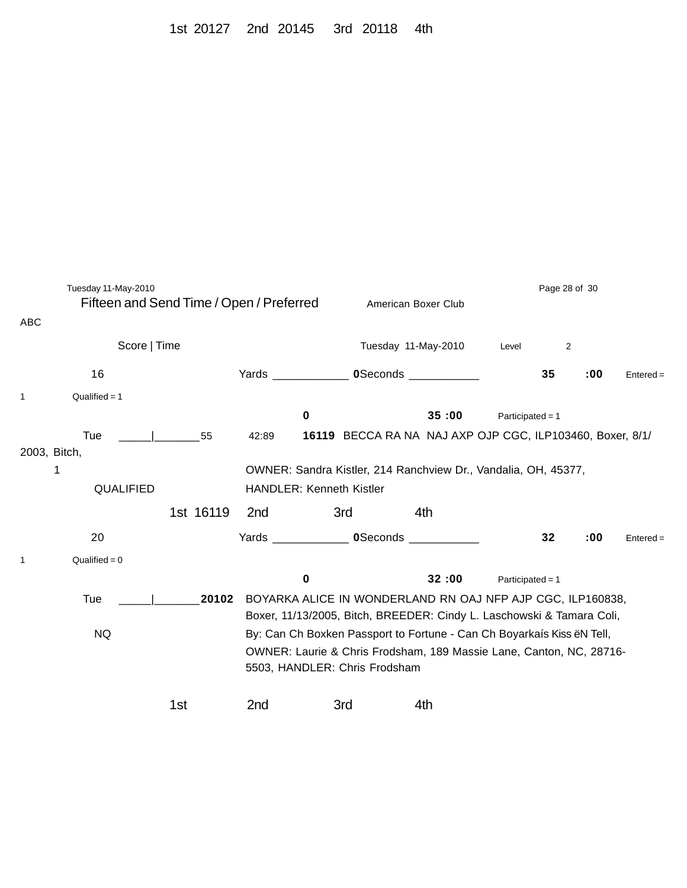### 1st 20127 2nd 20145 3rd 20118 4th

| ABC          | Tuesday 11-May-2010<br>Fifteen and Send Time / Open / Preferred                                                                                     |           |    |                                                                                                                                                                                |             |                                                                | American Boxer Club |       | Page 28 of 30      |    |     |             |  |
|--------------|-----------------------------------------------------------------------------------------------------------------------------------------------------|-----------|----|--------------------------------------------------------------------------------------------------------------------------------------------------------------------------------|-------------|----------------------------------------------------------------|---------------------|-------|--------------------|----|-----|-------------|--|
|              | Score   Time                                                                                                                                        |           |    | Tuesday 11-May-2010                                                                                                                                                            |             |                                                                |                     |       | Level              | 2  |     |             |  |
|              | 16                                                                                                                                                  |           |    |                                                                                                                                                                                |             | Yards ________________0Seconds ______________                  |                     |       |                    | 35 | :00 | $Entered =$ |  |
| $\mathbf{1}$ | $Qualified = 1$                                                                                                                                     |           |    |                                                                                                                                                                                |             |                                                                |                     |       |                    |    |     |             |  |
|              |                                                                                                                                                     |           |    |                                                                                                                                                                                | $\mathbf 0$ |                                                                |                     | 35:00 | Participated = $1$ |    |     |             |  |
| 2003, Bitch, | Tue                                                                                                                                                 |           | 55 | 42:89                                                                                                                                                                          |             | 16119 BECCA RA NA NAJ AXP OJP CGC, ILP103460, Boxer, 8/1/      |                     |       |                    |    |     |             |  |
| 1            |                                                                                                                                                     |           |    |                                                                                                                                                                                |             | OWNER: Sandra Kistler, 214 Ranchview Dr., Vandalia, OH, 45377, |                     |       |                    |    |     |             |  |
|              | QUALIFIED                                                                                                                                           |           |    | HANDLER: Kenneth Kistler                                                                                                                                                       |             |                                                                |                     |       |                    |    |     |             |  |
|              |                                                                                                                                                     | 1st 16119 |    | 2nd                                                                                                                                                                            |             | 3rd                                                            | 4th                 |       |                    |    |     |             |  |
|              | 20                                                                                                                                                  |           |    |                                                                                                                                                                                |             | Yards <b>OSeconds COSECONDITIES</b>                            |                     |       |                    | 32 | :00 | $Entered =$ |  |
| 1            | $Qualified = 0$                                                                                                                                     |           |    |                                                                                                                                                                                |             |                                                                |                     |       |                    |    |     |             |  |
|              |                                                                                                                                                     |           |    |                                                                                                                                                                                | $\mathbf 0$ |                                                                |                     | 32:00 | Participated = $1$ |    |     |             |  |
|              | 20102<br>BOYARKA ALICE IN WONDERLAND RN OAJ NFP AJP CGC, ILP160838,<br>Tue<br>Boxer, 11/13/2005, Bitch, BREEDER: Cindy L. Laschowski & Tamara Coli, |           |    |                                                                                                                                                                                |             |                                                                |                     |       |                    |    |     |             |  |
|              | <b>NQ</b>                                                                                                                                           |           |    | By: Can Ch Boxken Passport to Fortune - Can Ch Boyarkais Kiss ëN Tell,<br>OWNER: Laurie & Chris Frodsham, 189 Massie Lane, Canton, NC, 28716-<br>5503, HANDLER: Chris Frodsham |             |                                                                |                     |       |                    |    |     |             |  |
|              |                                                                                                                                                     | 1st       |    | 2 <sub>nd</sub>                                                                                                                                                                |             | 3rd                                                            | 4th                 |       |                    |    |     |             |  |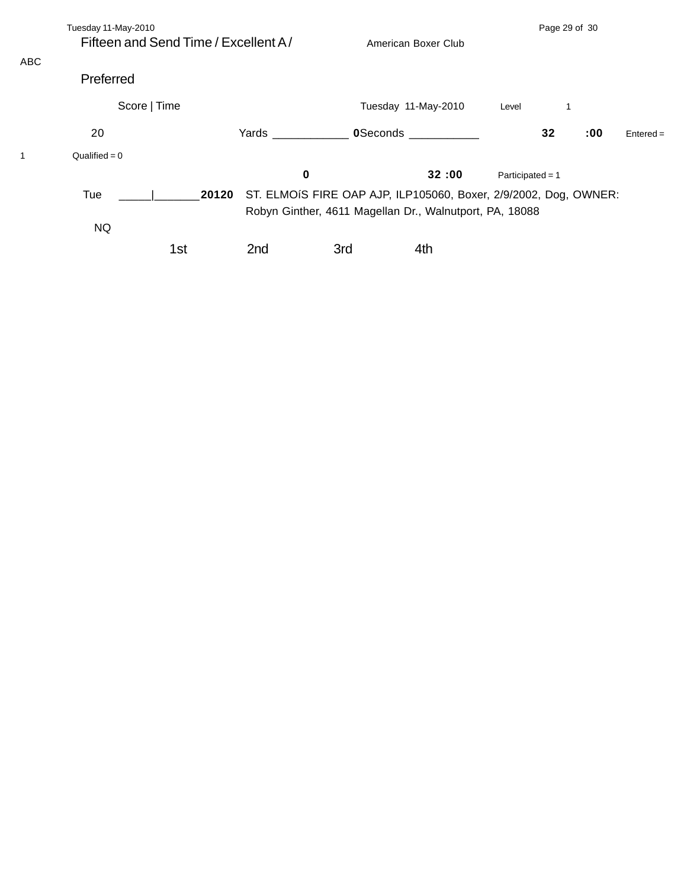|     | Tuesday 11-May-2010 | Fifteen and Send Time / Excellent A/ |                                                                                                                             | American Boxer Club |       |                    | Page 29 of 30 |     |             |
|-----|---------------------|--------------------------------------|-----------------------------------------------------------------------------------------------------------------------------|---------------------|-------|--------------------|---------------|-----|-------------|
| ABC |                     |                                      |                                                                                                                             |                     |       |                    |               |     |             |
|     | Preferred           |                                      |                                                                                                                             |                     |       |                    |               |     |             |
|     |                     | Score   Time                         |                                                                                                                             | Tuesday 11-May-2010 |       |                    | 1             |     |             |
|     | 20                  |                                      | Yards                                                                                                                       | <b>OSeconds</b>     |       |                    | 32            | :00 | $Entered =$ |
| 1   | Qualified $= 0$     |                                      |                                                                                                                             |                     |       |                    |               |     |             |
|     |                     |                                      | $\bf{0}$                                                                                                                    |                     | 32:00 | Participated = $1$ |               |     |             |
|     | Tue                 | 20120                                | ST. ELMOIS FIRE OAP AJP, ILP105060, Boxer, 2/9/2002, Dog, OWNER:<br>Robyn Ginther, 4611 Magellan Dr., Walnutport, PA, 18088 |                     |       |                    |               |     |             |
|     | <b>NQ</b>           |                                      |                                                                                                                             |                     |       |                    |               |     |             |
|     |                     | 1st                                  | 2nd                                                                                                                         | 3rd                 | 4th   |                    |               |     |             |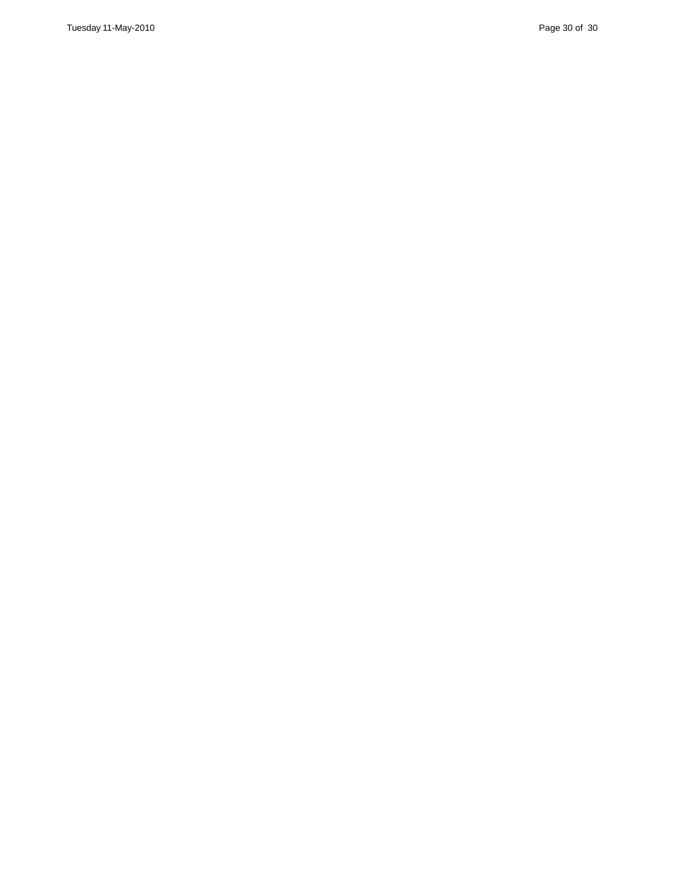Tuesday 11-May-2010 **Page 30 of 30**